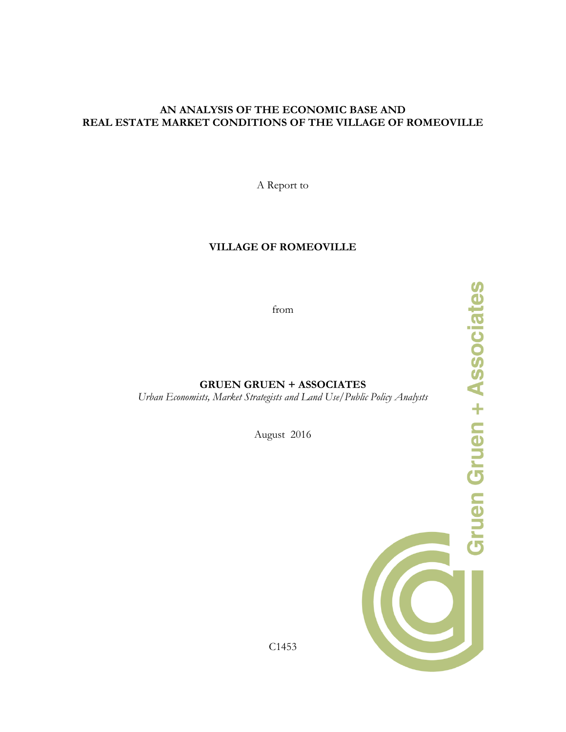A Report to

### **VILLAGE OF ROMEOVILLE**

from

**GRUEN GRUEN + ASSOCIATES**

*Urban Economists, Market Strategists and Land Use/Public Policy Analysts*

August 2016

C1453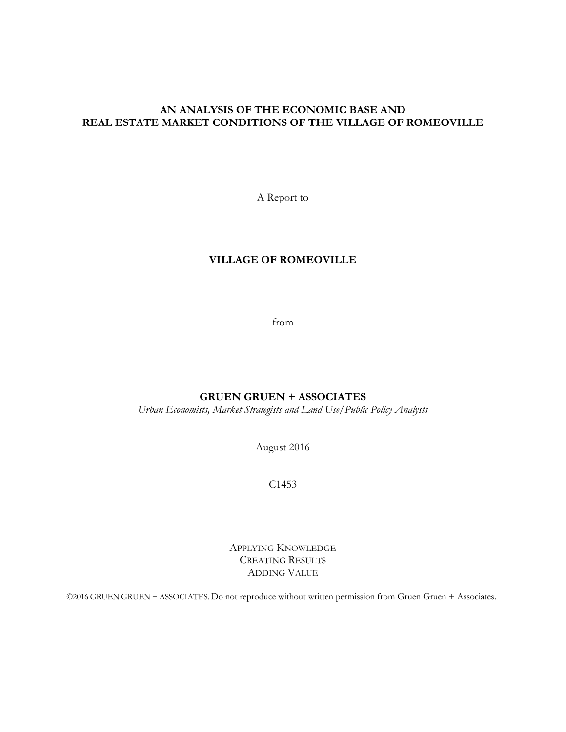A Report to

# **VILLAGE OF ROMEOVILLE**

from

# **GRUEN GRUEN + ASSOCIATES**

*Urban Economists, Market Strategists and Land Use/Public Policy Analysts*

August 2016

C1453

APPLYING KNOWLEDGE CREATING RESULTS ADDING VALUE

©2016 GRUEN GRUEN + ASSOCIATES. Do not reproduce without written permission from Gruen Gruen + Associates.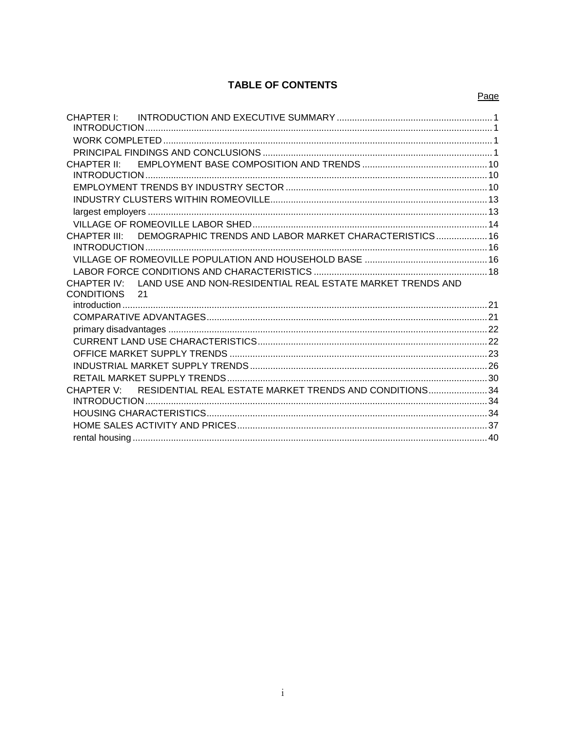# **TABLE OF CONTENTS**

| CHAPTER I:                                                                |  |
|---------------------------------------------------------------------------|--|
|                                                                           |  |
|                                                                           |  |
|                                                                           |  |
| CHAPTER II <sup>.</sup>                                                   |  |
|                                                                           |  |
|                                                                           |  |
|                                                                           |  |
|                                                                           |  |
|                                                                           |  |
| DEMOGRAPHIC TRENDS AND LABOR MARKET CHARACTERISTICS 16<br>CHAPTER III:    |  |
|                                                                           |  |
|                                                                           |  |
|                                                                           |  |
| LAND USE AND NON-RESIDENTIAL REAL ESTATE MARKET TRENDS AND<br>CHAPTER IV: |  |
| CONDITIONS 21                                                             |  |
|                                                                           |  |
|                                                                           |  |
|                                                                           |  |
|                                                                           |  |
|                                                                           |  |
|                                                                           |  |
|                                                                           |  |
| CHAPTER V: RESIDENTIAL REAL ESTATE MARKET TRENDS AND CONDITIONS 34        |  |
|                                                                           |  |
|                                                                           |  |
|                                                                           |  |
|                                                                           |  |

#### Page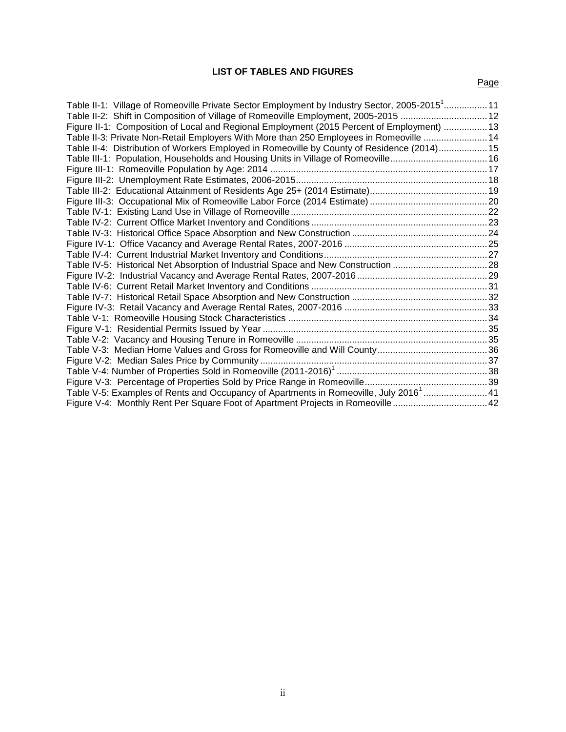#### **LIST OF TABLES AND FIGURES**

## Page

| Table II-1: Village of Romeoville Private Sector Employment by Industry Sector, 2005-2015 <sup>1</sup> 11 |  |
|-----------------------------------------------------------------------------------------------------------|--|
| Table II-2: Shift in Composition of Village of Romeoville Employment, 2005-2015  12                       |  |
| Figure II-1: Composition of Local and Regional Employment (2015 Percent of Employment)  13                |  |
| 14. Table II-3: Private Non-Retail Employers With More than 250 Employees in Romeoville 14                |  |
| Table II-4: Distribution of Workers Employed in Romeoville by County of Residence (2014) 15               |  |
| Table III-1: Population, Households and Housing Units in Village of Romeoville 16                         |  |
|                                                                                                           |  |
|                                                                                                           |  |
|                                                                                                           |  |
|                                                                                                           |  |
|                                                                                                           |  |
|                                                                                                           |  |
|                                                                                                           |  |
|                                                                                                           |  |
|                                                                                                           |  |
|                                                                                                           |  |
|                                                                                                           |  |
|                                                                                                           |  |
|                                                                                                           |  |
|                                                                                                           |  |
|                                                                                                           |  |
|                                                                                                           |  |
|                                                                                                           |  |
|                                                                                                           |  |
|                                                                                                           |  |
|                                                                                                           |  |
|                                                                                                           |  |
| Table V-5: Examples of Rents and Occupancy of Apartments in Romeoville, July 2016 <sup>1</sup> 41         |  |
| Figure V-4: Monthly Rent Per Square Foot of Apartment Projects in Romeoville 42                           |  |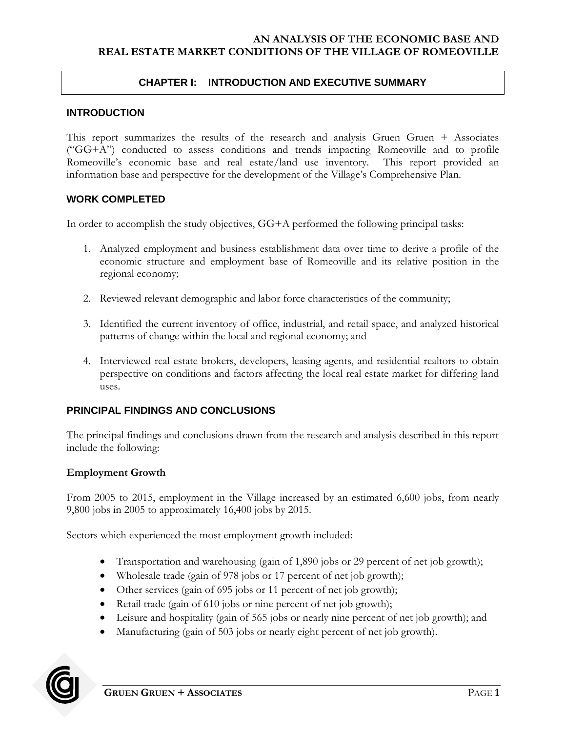### <span id="page-4-0"></span>**CHAPTER I: INTRODUCTION AND EXECUTIVE SUMMARY**

#### <span id="page-4-1"></span>**INTRODUCTION**

This report summarizes the results of the research and analysis Gruen Gruen + Associates ("GG+A") conducted to assess conditions and trends impacting Romeoville and to profile Romeoville's economic base and real estate/land use inventory. This report provided an information base and perspective for the development of the Village's Comprehensive Plan.

#### <span id="page-4-2"></span>**WORK COMPLETED**

In order to accomplish the study objectives, GG+A performed the following principal tasks:

- 1. Analyzed employment and business establishment data over time to derive a profile of the economic structure and employment base of Romeoville and its relative position in the regional economy;
- 2. Reviewed relevant demographic and labor force characteristics of the community;
- 3. Identified the current inventory of office, industrial, and retail space, and analyzed historical patterns of change within the local and regional economy; and
- 4. Interviewed real estate brokers, developers, leasing agents, and residential realtors to obtain perspective on conditions and factors affecting the local real estate market for differing land uses.

### <span id="page-4-3"></span>**PRINCIPAL FINDINGS AND CONCLUSIONS**

The principal findings and conclusions drawn from the research and analysis described in this report include the following:

### **Employment Growth**

From 2005 to 2015, employment in the Village increased by an estimated 6,600 jobs, from nearly 9,800 jobs in 2005 to approximately 16,400 jobs by 2015.

Sectors which experienced the most employment growth included:

- Transportation and warehousing (gain of 1,890 jobs or 29 percent of net job growth);
- Wholesale trade (gain of 978 jobs or 17 percent of net job growth);
- Other services (gain of 695 jobs or 11 percent of net job growth);
- Retail trade (gain of 610 jobs or nine percent of net job growth);
- Leisure and hospitality (gain of 565 jobs or nearly nine percent of net job growth); and
- Manufacturing (gain of 503 jobs or nearly eight percent of net job growth).

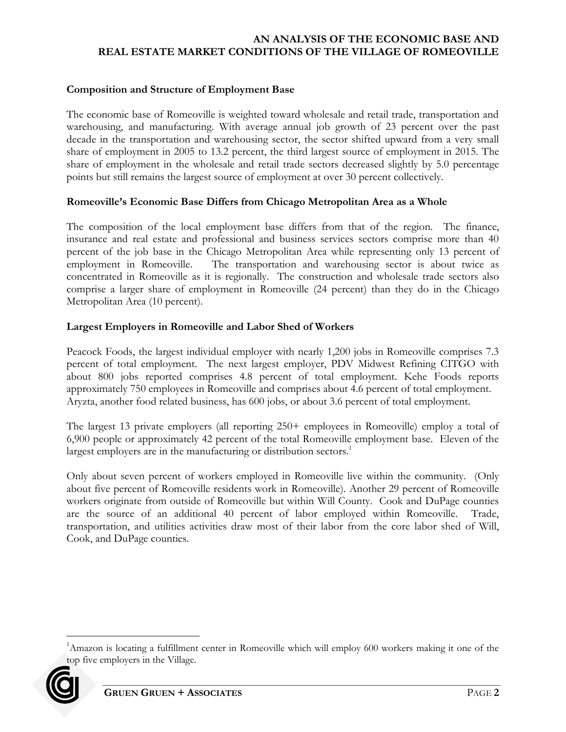## **Composition and Structure of Employment Base**

The economic base of Romeoville is weighted toward wholesale and retail trade, transportation and warehousing, and manufacturing. With average annual job growth of 23 percent over the past decade in the transportation and warehousing sector, the sector shifted upward from a very small share of employment in 2005 to 13.2 percent, the third largest source of employment in 2015. The share of employment in the wholesale and retail trade sectors decreased slightly by 5.0 percentage points but still remains the largest source of employment at over 30 percent collectively.

### **Romeoville's Economic Base Differs from Chicago Metropolitan Area as a Whole**

The composition of the local employment base differs from that of the region. The finance, insurance and real estate and professional and business services sectors comprise more than 40 percent of the job base in the Chicago Metropolitan Area while representing only 13 percent of employment in Romeoville. The transportation and warehousing sector is about twice as concentrated in Romeoville as it is regionally. The construction and wholesale trade sectors also comprise a larger share of employment in Romeoville (24 percent) than they do in the Chicago Metropolitan Area (10 percent).

#### **Largest Employers in Romeoville and Labor Shed of Workers**

Peacock Foods, the largest individual employer with nearly 1,200 jobs in Romeoville comprises 7.3 percent of total employment. The next largest employer, PDV Midwest Refining CITGO with about 800 jobs reported comprises 4.8 percent of total employment. Kehe Foods reports approximately 750 employees in Romeoville and comprises about 4.6 percent of total employment. Aryzta, another food related business, has 600 jobs, or about 3.6 percent of total employment.

The largest 13 private employers (all reporting 250+ employees in Romeoville) employ a total of 6,900 people or approximately 42 percent of the total Romeoville employment base. Eleven of the largest employers are in the manufacturing or distribution sectors.<sup>1</sup>

Only about seven percent of workers employed in Romeoville live within the community. (Only about five percent of Romeoville residents work in Romeoville). Another 29 percent of Romeoville workers originate from outside of Romeoville but within Will County. Cook and DuPage counties are the source of an additional 40 percent of labor employed within Romeoville. Trade, transportation, and utilities activities draw most of their labor from the core labor shed of Will, Cook, and DuPage counties.

<sup>&</sup>lt;sup>1</sup>Amazon is locating a fulfillment center in Romeoville which will employ 600 workers making it one of the top five employers in the Village.



 $\overline{a}$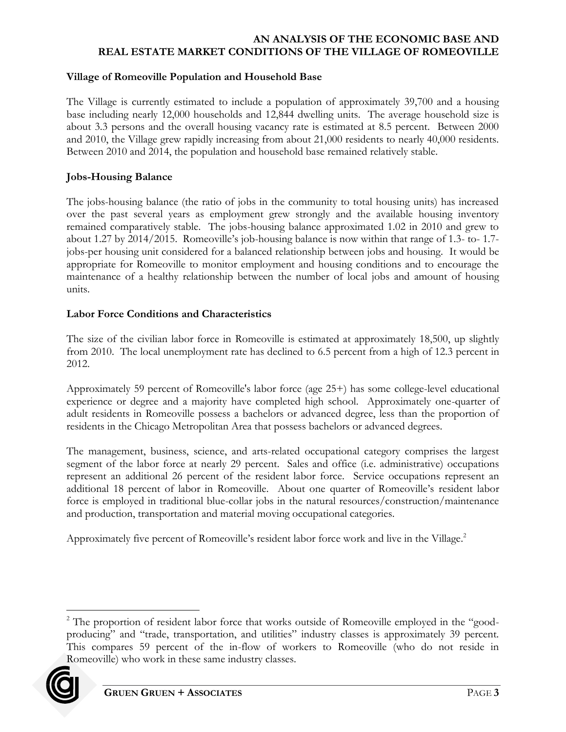### **Village of Romeoville Population and Household Base**

The Village is currently estimated to include a population of approximately 39,700 and a housing base including nearly 12,000 households and 12,844 dwelling units. The average household size is about 3.3 persons and the overall housing vacancy rate is estimated at 8.5 percent. Between 2000 and 2010, the Village grew rapidly increasing from about 21,000 residents to nearly 40,000 residents. Between 2010 and 2014, the population and household base remained relatively stable.

### **Jobs-Housing Balance**

The jobs-housing balance (the ratio of jobs in the community to total housing units) has increased over the past several years as employment grew strongly and the available housing inventory remained comparatively stable. The jobs-housing balance approximated 1.02 in 2010 and grew to about 1.27 by 2014/2015. Romeoville's job-housing balance is now within that range of 1.3- to- 1.7 jobs-per housing unit considered for a balanced relationship between jobs and housing. It would be appropriate for Romeoville to monitor employment and housing conditions and to encourage the maintenance of a healthy relationship between the number of local jobs and amount of housing units.

### **Labor Force Conditions and Characteristics**

The size of the civilian labor force in Romeoville is estimated at approximately 18,500, up slightly from 2010. The local unemployment rate has declined to 6.5 percent from a high of 12.3 percent in 2012.

Approximately 59 percent of Romeoville's labor force (age 25+) has some college-level educational experience or degree and a majority have completed high school. Approximately one-quarter of adult residents in Romeoville possess a bachelors or advanced degree, less than the proportion of residents in the Chicago Metropolitan Area that possess bachelors or advanced degrees.

The management, business, science, and arts-related occupational category comprises the largest segment of the labor force at nearly 29 percent. Sales and office (i.e. administrative) occupations represent an additional 26 percent of the resident labor force. Service occupations represent an additional 18 percent of labor in Romeoville. About one quarter of Romeoville's resident labor force is employed in traditional blue-collar jobs in the natural resources/construction/maintenance and production, transportation and material moving occupational categories.

Approximately five percent of Romeoville's resident labor force work and live in the Village.<sup>2</sup>

 $\overline{a}$ <sup>2</sup> The proportion of resident labor force that works outside of Romeoville employed in the "goodproducing" and "trade, transportation, and utilities" industry classes is approximately 39 percent. This compares 59 percent of the in-flow of workers to Romeoville (who do not reside in Romeoville) who work in these same industry classes.

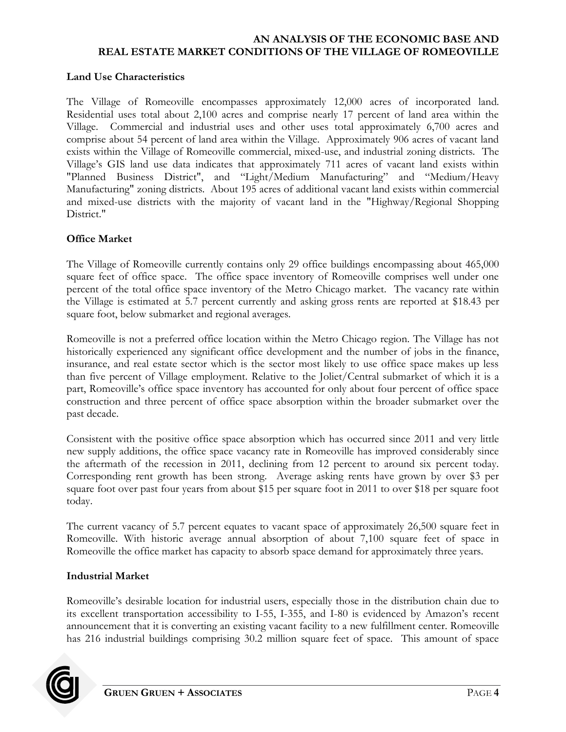### **Land Use Characteristics**

The Village of Romeoville encompasses approximately 12,000 acres of incorporated land. Residential uses total about 2,100 acres and comprise nearly 17 percent of land area within the Village. Commercial and industrial uses and other uses total approximately 6,700 acres and comprise about 54 percent of land area within the Village. Approximately 906 acres of vacant land exists within the Village of Romeoville commercial, mixed-use, and industrial zoning districts. The Village's GIS land use data indicates that approximately 711 acres of vacant land exists within "Planned Business District", and "Light/Medium Manufacturing" and "Medium/Heavy Manufacturing" zoning districts. About 195 acres of additional vacant land exists within commercial and mixed-use districts with the majority of vacant land in the "Highway/Regional Shopping District."

## **Office Market**

The Village of Romeoville currently contains only 29 office buildings encompassing about 465,000 square feet of office space. The office space inventory of Romeoville comprises well under one percent of the total office space inventory of the Metro Chicago market. The vacancy rate within the Village is estimated at 5.7 percent currently and asking gross rents are reported at \$18.43 per square foot, below submarket and regional averages.

Romeoville is not a preferred office location within the Metro Chicago region. The Village has not historically experienced any significant office development and the number of jobs in the finance, insurance, and real estate sector which is the sector most likely to use office space makes up less than five percent of Village employment. Relative to the Joliet/Central submarket of which it is a part, Romeoville's office space inventory has accounted for only about four percent of office space construction and three percent of office space absorption within the broader submarket over the past decade.

Consistent with the positive office space absorption which has occurred since 2011 and very little new supply additions, the office space vacancy rate in Romeoville has improved considerably since the aftermath of the recession in 2011, declining from 12 percent to around six percent today. Corresponding rent growth has been strong. Average asking rents have grown by over \$3 per square foot over past four years from about \$15 per square foot in 2011 to over \$18 per square foot today.

The current vacancy of 5.7 percent equates to vacant space of approximately 26,500 square feet in Romeoville. With historic average annual absorption of about 7,100 square feet of space in Romeoville the office market has capacity to absorb space demand for approximately three years.

### **Industrial Market**

Romeoville's desirable location for industrial users, especially those in the distribution chain due to its excellent transportation accessibility to I-55, I-355, and I-80 is evidenced by Amazon's recent announcement that it is converting an existing vacant facility to a new fulfillment center. Romeoville has 216 industrial buildings comprising 30.2 million square feet of space. This amount of space

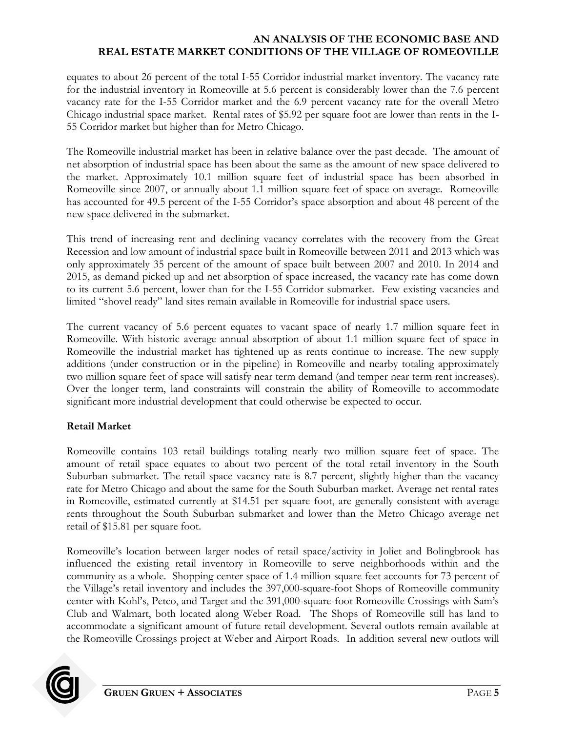equates to about 26 percent of the total I-55 Corridor industrial market inventory. The vacancy rate for the industrial inventory in Romeoville at 5.6 percent is considerably lower than the 7.6 percent vacancy rate for the I-55 Corridor market and the 6.9 percent vacancy rate for the overall Metro Chicago industrial space market. Rental rates of \$5.92 per square foot are lower than rents in the I-55 Corridor market but higher than for Metro Chicago.

The Romeoville industrial market has been in relative balance over the past decade. The amount of net absorption of industrial space has been about the same as the amount of new space delivered to the market. Approximately 10.1 million square feet of industrial space has been absorbed in Romeoville since 2007, or annually about 1.1 million square feet of space on average. Romeoville has accounted for 49.5 percent of the I-55 Corridor's space absorption and about 48 percent of the new space delivered in the submarket.

This trend of increasing rent and declining vacancy correlates with the recovery from the Great Recession and low amount of industrial space built in Romeoville between 2011 and 2013 which was only approximately 35 percent of the amount of space built between 2007 and 2010. In 2014 and 2015, as demand picked up and net absorption of space increased, the vacancy rate has come down to its current 5.6 percent, lower than for the I-55 Corridor submarket. Few existing vacancies and limited "shovel ready" land sites remain available in Romeoville for industrial space users.

The current vacancy of 5.6 percent equates to vacant space of nearly 1.7 million square feet in Romeoville. With historic average annual absorption of about 1.1 million square feet of space in Romeoville the industrial market has tightened up as rents continue to increase. The new supply additions (under construction or in the pipeline) in Romeoville and nearby totaling approximately two million square feet of space will satisfy near term demand (and temper near term rent increases). Over the longer term, land constraints will constrain the ability of Romeoville to accommodate significant more industrial development that could otherwise be expected to occur.

# **Retail Market**

Romeoville contains 103 retail buildings totaling nearly two million square feet of space. The amount of retail space equates to about two percent of the total retail inventory in the South Suburban submarket. The retail space vacancy rate is 8.7 percent, slightly higher than the vacancy rate for Metro Chicago and about the same for the South Suburban market. Average net rental rates in Romeoville, estimated currently at \$14.51 per square foot, are generally consistent with average rents throughout the South Suburban submarket and lower than the Metro Chicago average net retail of \$15.81 per square foot.

Romeoville's location between larger nodes of retail space/activity in Joliet and Bolingbrook has influenced the existing retail inventory in Romeoville to serve neighborhoods within and the community as a whole. Shopping center space of 1.4 million square feet accounts for 73 percent of the Village's retail inventory and includes the 397,000-square-foot Shops of Romeoville community center with Kohl's, Petco, and Target and the 391,000-square-foot Romeoville Crossings with Sam's Club and Walmart, both located along Weber Road. The Shops of Romeoville still has land to accommodate a significant amount of future retail development. Several outlots remain available at the Romeoville Crossings project at Weber and Airport Roads. In addition several new outlots will

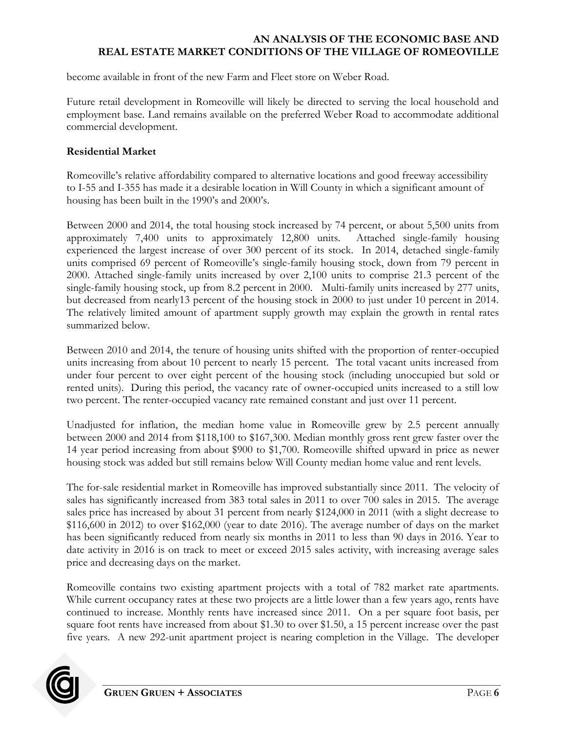become available in front of the new Farm and Fleet store on Weber Road.

Future retail development in Romeoville will likely be directed to serving the local household and employment base. Land remains available on the preferred Weber Road to accommodate additional commercial development.

### **Residential Market**

Romeoville's relative affordability compared to alternative locations and good freeway accessibility to I-55 and I-355 has made it a desirable location in Will County in which a significant amount of housing has been built in the 1990's and 2000's.

Between 2000 and 2014, the total housing stock increased by 74 percent, or about 5,500 units from approximately 7,400 units to approximately 12,800 units. Attached single-family housing experienced the largest increase of over 300 percent of its stock. In 2014, detached single-family units comprised 69 percent of Romeoville's single-family housing stock, down from 79 percent in 2000. Attached single-family units increased by over 2,100 units to comprise 21.3 percent of the single-family housing stock, up from 8.2 percent in 2000. Multi-family units increased by 277 units, but decreased from nearly13 percent of the housing stock in 2000 to just under 10 percent in 2014. The relatively limited amount of apartment supply growth may explain the growth in rental rates summarized below.

Between 2010 and 2014, the tenure of housing units shifted with the proportion of renter-occupied units increasing from about 10 percent to nearly 15 percent. The total vacant units increased from under four percent to over eight percent of the housing stock (including unoccupied but sold or rented units). During this period, the vacancy rate of owner-occupied units increased to a still low two percent. The renter-occupied vacancy rate remained constant and just over 11 percent.

Unadjusted for inflation, the median home value in Romeoville grew by 2.5 percent annually between 2000 and 2014 from \$118,100 to \$167,300. Median monthly gross rent grew faster over the 14 year period increasing from about \$900 to \$1,700. Romeoville shifted upward in price as newer housing stock was added but still remains below Will County median home value and rent levels.

The for-sale residential market in Romeoville has improved substantially since 2011. The velocity of sales has significantly increased from 383 total sales in 2011 to over 700 sales in 2015. The average sales price has increased by about 31 percent from nearly \$124,000 in 2011 (with a slight decrease to \$116,600 in 2012) to over \$162,000 (year to date 2016). The average number of days on the market has been significantly reduced from nearly six months in 2011 to less than 90 days in 2016. Year to date activity in 2016 is on track to meet or exceed 2015 sales activity, with increasing average sales price and decreasing days on the market.

Romeoville contains two existing apartment projects with a total of 782 market rate apartments. While current occupancy rates at these two projects are a little lower than a few years ago, rents have continued to increase. Monthly rents have increased since 2011. On a per square foot basis, per square foot rents have increased from about \$1.30 to over \$1.50, a 15 percent increase over the past five years. A new 292-unit apartment project is nearing completion in the Village. The developer

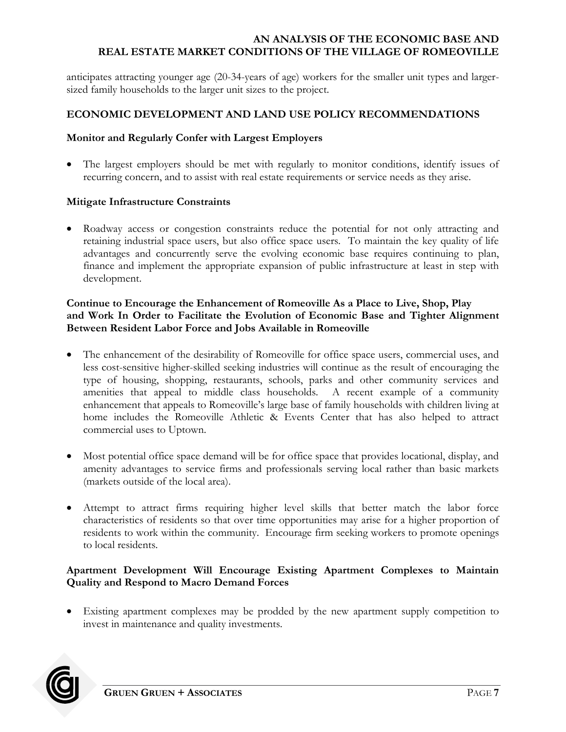anticipates attracting younger age (20-34-years of age) workers for the smaller unit types and largersized family households to the larger unit sizes to the project.

# **ECONOMIC DEVELOPMENT AND LAND USE POLICY RECOMMENDATIONS**

### **Monitor and Regularly Confer with Largest Employers**

 The largest employers should be met with regularly to monitor conditions, identify issues of recurring concern, and to assist with real estate requirements or service needs as they arise.

### **Mitigate Infrastructure Constraints**

• Roadway access or congestion constraints reduce the potential for not only attracting and retaining industrial space users, but also office space users. To maintain the key quality of life advantages and concurrently serve the evolving economic base requires continuing to plan, finance and implement the appropriate expansion of public infrastructure at least in step with development.

### **Continue to Encourage the Enhancement of Romeoville As a Place to Live, Shop, Play and Work In Order to Facilitate the Evolution of Economic Base and Tighter Alignment Between Resident Labor Force and Jobs Available in Romeoville**

- The enhancement of the desirability of Romeoville for office space users, commercial uses, and less cost-sensitive higher-skilled seeking industries will continue as the result of encouraging the type of housing, shopping, restaurants, schools, parks and other community services and amenities that appeal to middle class households. A recent example of a community enhancement that appeals to Romeoville's large base of family households with children living at home includes the Romeoville Athletic & Events Center that has also helped to attract commercial uses to Uptown.
- Most potential office space demand will be for office space that provides locational, display, and amenity advantages to service firms and professionals serving local rather than basic markets (markets outside of the local area).
- Attempt to attract firms requiring higher level skills that better match the labor force characteristics of residents so that over time opportunities may arise for a higher proportion of residents to work within the community. Encourage firm seeking workers to promote openings to local residents.

## **Apartment Development Will Encourage Existing Apartment Complexes to Maintain Quality and Respond to Macro Demand Forces**

 Existing apartment complexes may be prodded by the new apartment supply competition to invest in maintenance and quality investments.

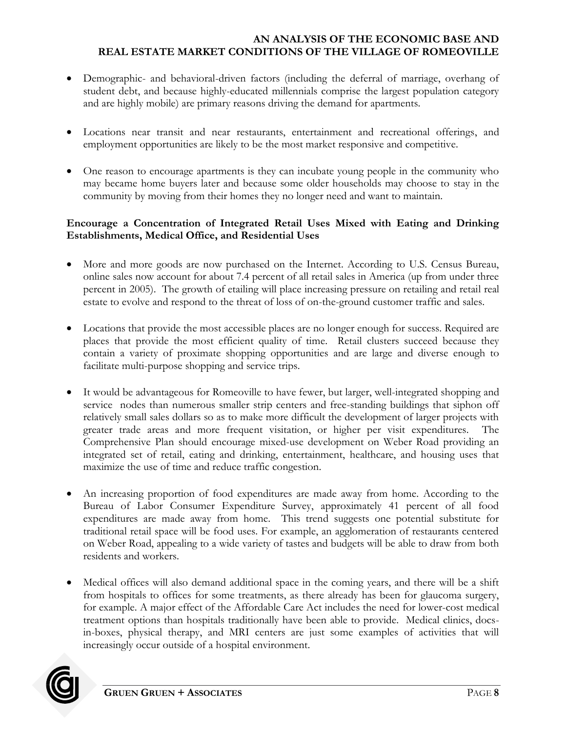- Demographic- and behavioral-driven factors (including the deferral of marriage, overhang of student debt, and because highly-educated millennials comprise the largest population category and are highly mobile) are primary reasons driving the demand for apartments.
- Locations near transit and near restaurants, entertainment and recreational offerings, and employment opportunities are likely to be the most market responsive and competitive.
- One reason to encourage apartments is they can incubate young people in the community who may became home buyers later and because some older households may choose to stay in the community by moving from their homes they no longer need and want to maintain.

# **Encourage a Concentration of Integrated Retail Uses Mixed with Eating and Drinking Establishments, Medical Office, and Residential Uses**

- More and more goods are now purchased on the Internet. According to U.S. Census Bureau, online sales now account for about 7.4 percent of all retail sales in America (up from under three percent in 2005). The growth of etailing will place increasing pressure on retailing and retail real estate to evolve and respond to the threat of loss of on-the-ground customer traffic and sales.
- Locations that provide the most accessible places are no longer enough for success. Required are places that provide the most efficient quality of time. Retail clusters succeed because they contain a variety of proximate shopping opportunities and are large and diverse enough to facilitate multi-purpose shopping and service trips.
- It would be advantageous for Romeoville to have fewer, but larger, well-integrated shopping and service nodes than numerous smaller strip centers and free-standing buildings that siphon off relatively small sales dollars so as to make more difficult the development of larger projects with greater trade areas and more frequent visitation, or higher per visit expenditures. The Comprehensive Plan should encourage mixed-use development on Weber Road providing an integrated set of retail, eating and drinking, entertainment, healthcare, and housing uses that maximize the use of time and reduce traffic congestion.
- An increasing proportion of food expenditures are made away from home. According to the Bureau of Labor Consumer Expenditure Survey, approximately 41 percent of all food expenditures are made away from home. This trend suggests one potential substitute for traditional retail space will be food uses. For example, an agglomeration of restaurants centered on Weber Road, appealing to a wide variety of tastes and budgets will be able to draw from both residents and workers.
- Medical offices will also demand additional space in the coming years, and there will be a shift from hospitals to offices for some treatments, as there already has been for glaucoma surgery, for example. A major effect of the Affordable Care Act includes the need for lower-cost medical treatment options than hospitals traditionally have been able to provide. Medical clinics, docsin-boxes, physical therapy, and MRI centers are just some examples of activities that will increasingly occur outside of a hospital environment.

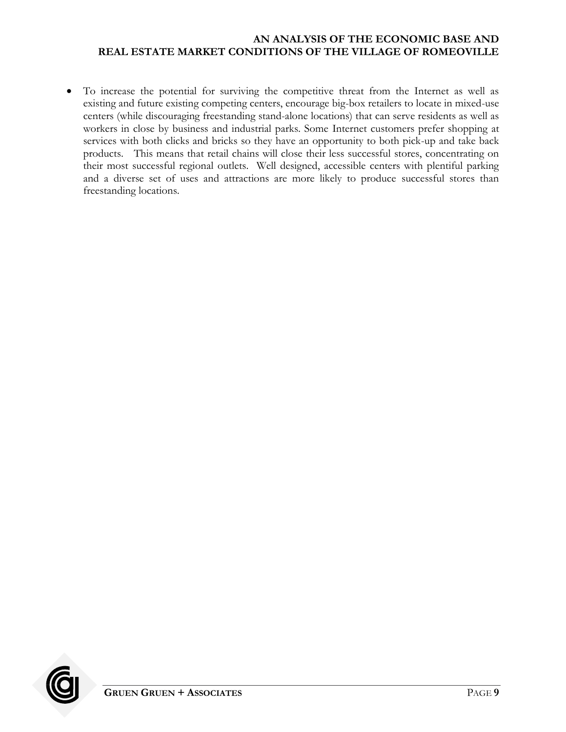To increase the potential for surviving the competitive threat from the Internet as well as existing and future existing competing centers, encourage big-box retailers to locate in mixed-use centers (while discouraging freestanding stand-alone locations) that can serve residents as well as workers in close by business and industrial parks. Some Internet customers prefer shopping at services with both clicks and bricks so they have an opportunity to both pick-up and take back products. This means that retail chains will close their less successful stores, concentrating on their most successful regional outlets. Well designed, accessible centers with plentiful parking and a diverse set of uses and attractions are more likely to produce successful stores than freestanding locations.

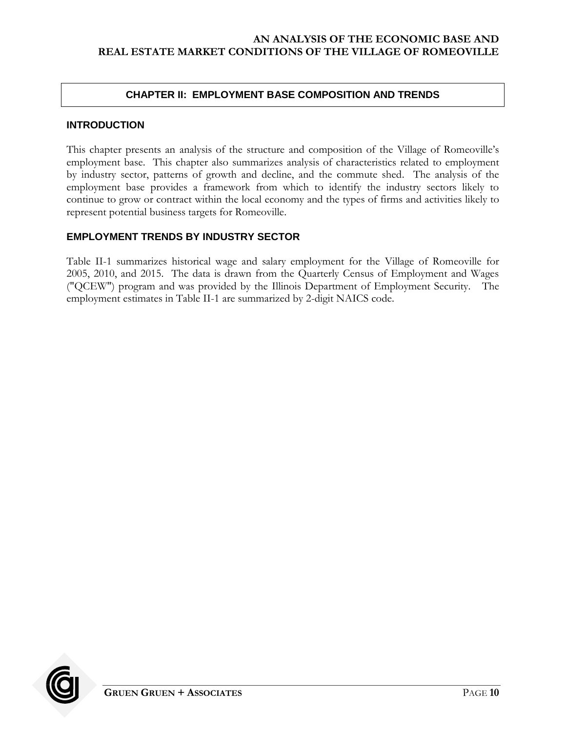### **CHAPTER II: EMPLOYMENT BASE COMPOSITION AND TRENDS**

### <span id="page-13-1"></span><span id="page-13-0"></span>**INTRODUCTION**

This chapter presents an analysis of the structure and composition of the Village of Romeoville's employment base. This chapter also summarizes analysis of characteristics related to employment by industry sector, patterns of growth and decline, and the commute shed. The analysis of the employment base provides a framework from which to identify the industry sectors likely to continue to grow or contract within the local economy and the types of firms and activities likely to represent potential business targets for Romeoville.

## <span id="page-13-2"></span>**EMPLOYMENT TRENDS BY INDUSTRY SECTOR**

Table II-1 summarizes historical wage and salary employment for the Village of Romeoville for 2005, 2010, and 2015. The data is drawn from the Quarterly Census of Employment and Wages ("QCEW") program and was provided by the Illinois Department of Employment Security. The employment estimates in Table II-1 are summarized by 2-digit NAICS code.

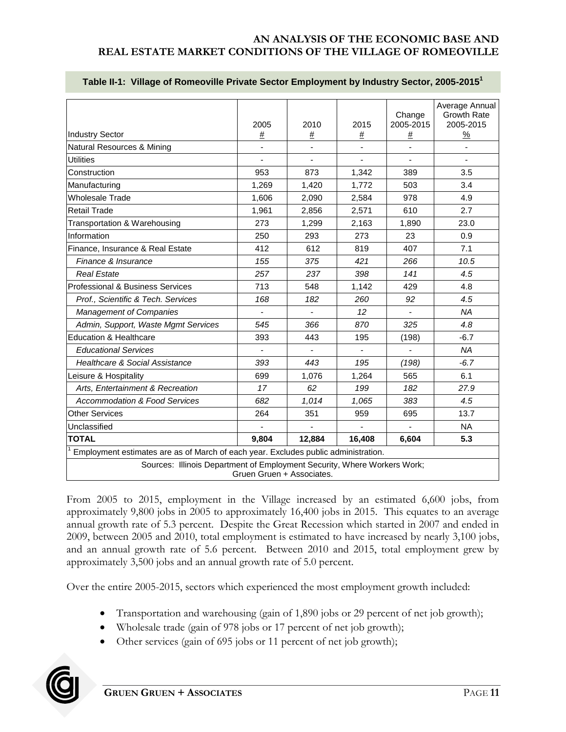|                                                                                    | 2005                      | 2010           | 2015           | Change<br>2005-2015 | Average Annual<br><b>Growth Rate</b><br>2005-2015 |
|------------------------------------------------------------------------------------|---------------------------|----------------|----------------|---------------------|---------------------------------------------------|
| <b>Industry Sector</b>                                                             | $\#$                      | $\#$           | #              | #                   | $\frac{9}{6}$                                     |
| Natural Resources & Mining                                                         |                           |                | ÷,             |                     | ÷,                                                |
| <b>Utilities</b>                                                                   |                           |                | ä,             |                     |                                                   |
| Construction                                                                       | 953                       | 873            | 1,342          | 389                 | 3.5                                               |
| Manufacturing                                                                      | 1,269                     | 1,420          | 1,772          | 503                 | 3.4                                               |
| Wholesale Trade                                                                    | 1.606                     | 2.090          | 2,584          | 978                 | 4.9                                               |
| <b>Retail Trade</b>                                                                | 1,961                     | 2,856          | 2,571          | 610                 | 2.7                                               |
| Transportation & Warehousing                                                       | 273                       | 1.299          | 2,163          | 1.890               | 23.0                                              |
| Information                                                                        | 250                       | 293            | 273            | 23                  | 0.9                                               |
| Finance, Insurance & Real Estate                                                   | 412                       | 612            | 819            | 407                 | 7.1                                               |
| Finance & Insurance                                                                | 155                       | 375            | 421            | 266                 | 10.5                                              |
| <b>Real Estate</b>                                                                 | 257                       | 237            | 398            | 141                 | 4.5                                               |
| Professional & Business Services                                                   | 713                       | 548            | 1,142          | 429                 | 4.8                                               |
| Prof., Scientific & Tech. Services                                                 | 168                       | 182            | 260            | 92                  | 4.5                                               |
| <b>Management of Companies</b>                                                     |                           | $\overline{a}$ | 12             | $\blacksquare$      | <b>NA</b>                                         |
| Admin, Support, Waste Mgmt Services                                                | 545                       | 366            | 870            | 325                 | 4.8                                               |
| <b>Education &amp; Healthcare</b>                                                  | 393                       | 443            | 195            | (198)               | $-6.7$                                            |
| <b>Educational Services</b>                                                        |                           |                |                |                     | <b>NA</b>                                         |
| <b>Healthcare &amp; Social Assistance</b>                                          | 393                       | 443            | 195            | (198)               | $-6.7$                                            |
| Leisure & Hospitality                                                              | 699                       | 1,076          | 1.264          | 565                 | 6.1                                               |
| Arts, Entertainment & Recreation                                                   | 17                        | 62             | 199            | 182                 | 27.9                                              |
| <b>Accommodation &amp; Food Services</b>                                           | 682                       | 1,014          | 1,065          | 383                 | 4.5                                               |
| <b>Other Services</b>                                                              | 264                       | 351            | 959            | 695                 | 13.7                                              |
| Unclassified                                                                       | $\overline{\phantom{a}}$  | ä,             | $\blacksquare$ | $\overline{a}$      | <b>NA</b>                                         |
| <b>TOTAL</b>                                                                       | 9,804                     | 12,884         | 16,408         | 6,604               | 5.3                                               |
| Employment estimates are as of March of each year. Excludes public administration. |                           |                |                |                     |                                                   |
| Sources: Illinois Department of Employment Security, Where Workers Work;           | Gruen Gruen + Associates. |                |                |                     |                                                   |

#### <span id="page-14-0"></span>**Table II-1: Village of Romeoville Private Sector Employment by Industry Sector, 2005-2015<sup>1</sup>**

From 2005 to 2015, employment in the Village increased by an estimated 6,600 jobs, from approximately 9,800 jobs in 2005 to approximately 16,400 jobs in 2015. This equates to an average annual growth rate of 5.3 percent. Despite the Great Recession which started in 2007 and ended in 2009, between 2005 and 2010, total employment is estimated to have increased by nearly 3,100 jobs, and an annual growth rate of 5.6 percent. Between 2010 and 2015, total employment grew by approximately 3,500 jobs and an annual growth rate of 5.0 percent.

Over the entire 2005-2015, sectors which experienced the most employment growth included:

- Transportation and warehousing (gain of 1,890 jobs or 29 percent of net job growth);
- Wholesale trade (gain of 978 jobs or 17 percent of net job growth);
- Other services (gain of 695 jobs or 11 percent of net job growth);

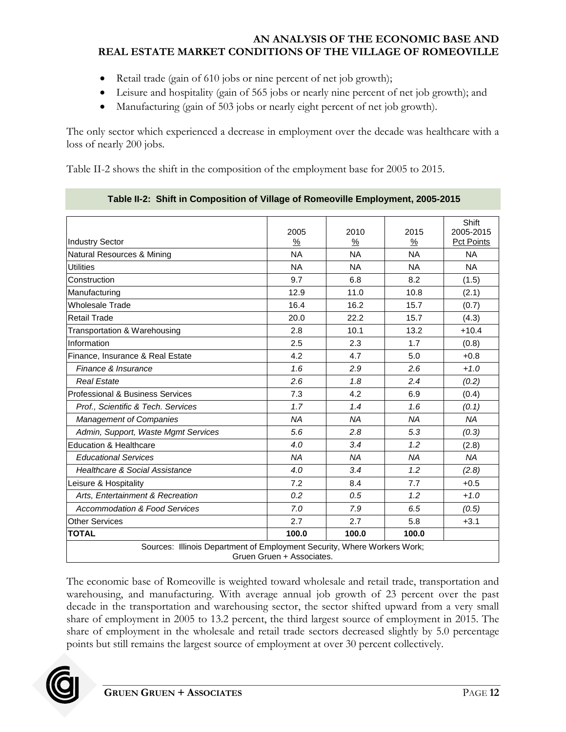- Retail trade (gain of 610 jobs or nine percent of net job growth);
- Leisure and hospitality (gain of 565 jobs or nearly nine percent of net job growth); and
- Manufacturing (gain of 503 jobs or nearly eight percent of net job growth).

The only sector which experienced a decrease in employment over the decade was healthcare with a loss of nearly 200 jobs.

Table II-2 shows the shift in the composition of the employment base for 2005 to 2015.

|                                                                          | 2005                      | 2010      | 2015      | Shift<br>2005-2015 |
|--------------------------------------------------------------------------|---------------------------|-----------|-----------|--------------------|
| <b>Industry Sector</b>                                                   | %                         | %         | %         | <b>Pct Points</b>  |
| Natural Resources & Mining                                               | <b>NA</b>                 | <b>NA</b> | <b>NA</b> | <b>NA</b>          |
| <b>Utilities</b>                                                         | <b>NA</b>                 | <b>NA</b> | <b>NA</b> | <b>NA</b>          |
| Construction                                                             | 9.7                       | 6.8       | 8.2       | (1.5)              |
| Manufacturing                                                            | 12.9                      | 11.0      | 10.8      | (2.1)              |
| <b>Wholesale Trade</b>                                                   | 16.4                      | 16.2      | 15.7      | (0.7)              |
| <b>Retail Trade</b>                                                      | 20.0                      | 22.2      | 15.7      | (4.3)              |
| Transportation & Warehousing                                             | 2.8                       | 10.1      | 13.2      | $+10.4$            |
| Information                                                              | 2.5                       | 2.3       | 1.7       | (0.8)              |
| Finance, Insurance & Real Estate                                         | 4.2                       | 4.7       | 5.0       | $+0.8$             |
| Finance & Insurance                                                      | 1.6                       | 2.9       | 2.6       | $+1.0$             |
| <b>Real Estate</b>                                                       | 2.6                       | 1.8       | 2.4       | (0.2)              |
| Professional & Business Services                                         | 7.3                       | 4.2       | 6.9       | (0.4)              |
| Prof., Scientific & Tech. Services                                       | 1.7                       | 1.4       | 1.6       | (0.1)              |
| Management of Companies                                                  | <b>NA</b>                 | <b>NA</b> | <b>NA</b> | <b>NA</b>          |
| Admin, Support, Waste Mgmt Services                                      | 5.6                       | 2.8       | 5.3       | (0.3)              |
| <b>Education &amp; Healthcare</b>                                        | 4.0                       | 3.4       | 1.2       | (2.8)              |
| <b>Educational Services</b>                                              | <b>NA</b>                 | <b>NA</b> | <b>NA</b> | <b>NA</b>          |
| <b>Healthcare &amp; Social Assistance</b>                                | 4.0                       | 3.4       | 1.2       | (2.8)              |
| Leisure & Hospitality                                                    | 7.2                       | 8.4       | 7.7       | $+0.5$             |
| Arts, Entertainment & Recreation                                         | 0.2                       | 0.5       | 1.2       | $+1.0$             |
| <b>Accommodation &amp; Food Services</b>                                 | 7.0                       | 7.9       | 6.5       | (0.5)              |
| <b>Other Services</b>                                                    | 2.7                       | 2.7       | 5.8       | $+3.1$             |
| <b>TOTAL</b>                                                             | 100.0                     | 100.0     | 100.0     |                    |
| Sources: Illinois Department of Employment Security, Where Workers Work; | Gruen Gruen + Associates. |           |           |                    |

<span id="page-15-0"></span>**Table II-2: Shift in Composition of Village of Romeoville Employment, 2005-2015**

The economic base of Romeoville is weighted toward wholesale and retail trade, transportation and warehousing, and manufacturing. With average annual job growth of 23 percent over the past decade in the transportation and warehousing sector, the sector shifted upward from a very small share of employment in 2005 to 13.2 percent, the third largest source of employment in 2015. The share of employment in the wholesale and retail trade sectors decreased slightly by 5.0 percentage points but still remains the largest source of employment at over 30 percent collectively.

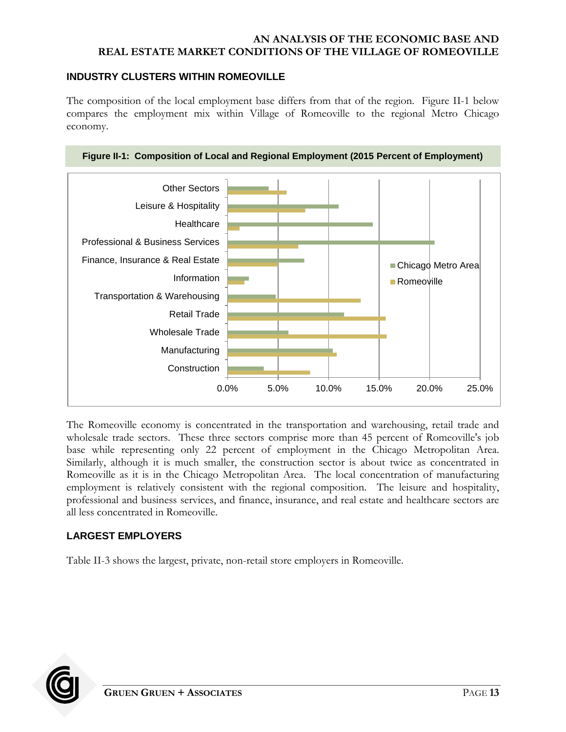## <span id="page-16-0"></span>**INDUSTRY CLUSTERS WITHIN ROMEOVILLE**

The composition of the local employment base differs from that of the region. Figure II-1 below compares the employment mix within Village of Romeoville to the regional Metro Chicago economy.

**Figure II-1: Composition of Local and Regional Employment (2015 Percent of Employment)**

<span id="page-16-2"></span>

The Romeoville economy is concentrated in the transportation and warehousing, retail trade and wholesale trade sectors. These three sectors comprise more than 45 percent of Romeoville's job base while representing only 22 percent of employment in the Chicago Metropolitan Area. Similarly, although it is much smaller, the construction sector is about twice as concentrated in Romeoville as it is in the Chicago Metropolitan Area. The local concentration of manufacturing employment is relatively consistent with the regional composition. The leisure and hospitality, professional and business services, and finance, insurance, and real estate and healthcare sectors are all less concentrated in Romeoville.

# <span id="page-16-1"></span>**LARGEST EMPLOYERS**

Table II-3 shows the largest, private, non-retail store employers in Romeoville.

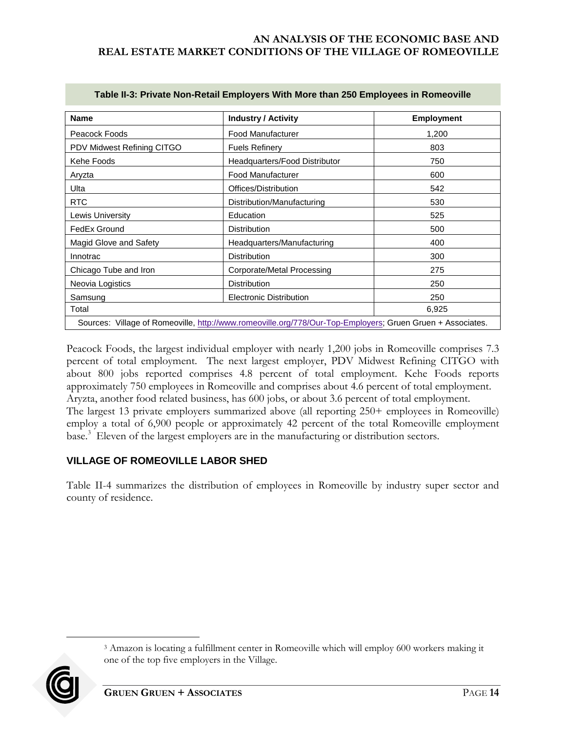<span id="page-17-1"></span>

| <b>Name</b>                                                                                                | <b>Industry / Activity</b>     | <b>Employment</b> |  |  |
|------------------------------------------------------------------------------------------------------------|--------------------------------|-------------------|--|--|
| Peacock Foods                                                                                              | Food Manufacturer              | 1,200             |  |  |
| PDV Midwest Refining CITGO                                                                                 | <b>Fuels Refinery</b>          | 803               |  |  |
| Kehe Foods                                                                                                 | Headquarters/Food Distributor  | 750               |  |  |
| Aryzta                                                                                                     | Food Manufacturer              | 600               |  |  |
| Ulta                                                                                                       | Offices/Distribution           | 542               |  |  |
| <b>RTC</b>                                                                                                 | Distribution/Manufacturing     | 530               |  |  |
| Lewis University                                                                                           | Education                      | 525               |  |  |
| FedEx Ground                                                                                               | <b>Distribution</b>            | 500               |  |  |
| Magid Glove and Safety                                                                                     | Headquarters/Manufacturing     | 400               |  |  |
| Innotrac                                                                                                   | <b>Distribution</b>            | 300               |  |  |
| Chicago Tube and Iron                                                                                      | Corporate/Metal Processing     | 275               |  |  |
| Neovia Logistics                                                                                           | <b>Distribution</b>            | 250               |  |  |
| Samsung                                                                                                    | <b>Electronic Distribution</b> | 250               |  |  |
| Total<br>6,925                                                                                             |                                |                   |  |  |
| Sources: Village of Romeoville, http://www.romeoville.org/778/Our-Top-Employers; Gruen Gruen + Associates. |                                |                   |  |  |

#### **Table II-3: Private Non-Retail Employers With More than 250 Employees in Romeoville**

Peacock Foods, the largest individual employer with nearly 1,200 jobs in Romeoville comprises 7.3 percent of total employment. The next largest employer, PDV Midwest Refining CITGO with about 800 jobs reported comprises 4.8 percent of total employment. Kehe Foods reports approximately 750 employees in Romeoville and comprises about 4.6 percent of total employment. Aryzta, another food related business, has 600 jobs, or about 3.6 percent of total employment. The largest 13 private employers summarized above (all reporting 250+ employees in Romeoville) employ a total of 6,900 people or approximately 42 percent of the total Romeoville employment base.<sup>3</sup> Eleven of the largest employers are in the manufacturing or distribution sectors.

# <span id="page-17-0"></span>**VILLAGE OF ROMEOVILLE LABOR SHED**

Table II-4 summarizes the distribution of employees in Romeoville by industry super sector and county of residence.

<sup>3</sup> Amazon is locating a fulfillment center in Romeoville which will employ 600 workers making it one of the top five employers in the Village.



 $\overline{a}$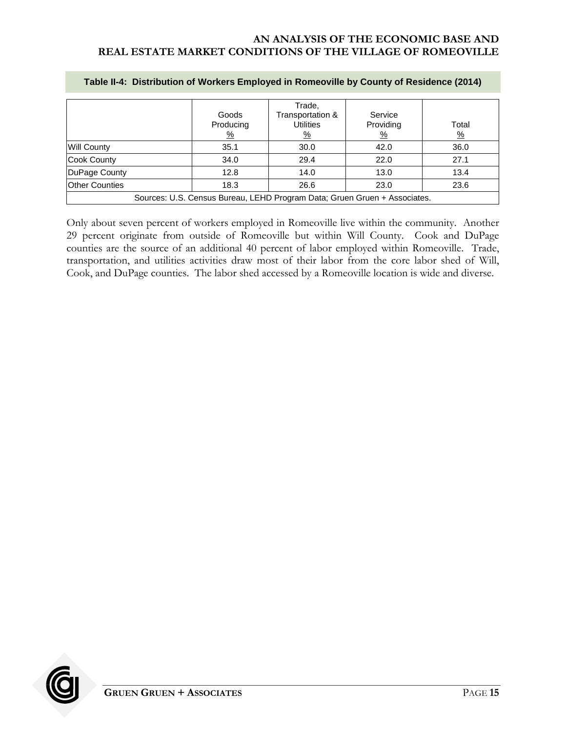|                                                                           | Goods<br>Producing<br><u>%</u> | Trade,<br>Transportation &<br><b>Utilities</b><br><u>%</u> | Service<br>Providing<br>$\frac{9}{6}$ | Total<br>$\frac{9}{6}$ |
|---------------------------------------------------------------------------|--------------------------------|------------------------------------------------------------|---------------------------------------|------------------------|
| <b>Will County</b>                                                        | 35.1                           | 30.0                                                       | 42.0                                  | 36.0                   |
| <b>Cook County</b>                                                        | 34.0                           | 29.4                                                       | 22.0                                  | 27.1                   |
| DuPage County                                                             | 12.8                           | 14.0                                                       | 13.0                                  | 13.4                   |
| <b>Other Counties</b>                                                     | 18.3                           | 26.6                                                       | 23.0                                  | 23.6                   |
| Sources: U.S. Census Bureau, LEHD Program Data; Gruen Gruen + Associates. |                                |                                                            |                                       |                        |

#### <span id="page-18-0"></span>**Table II-4: Distribution of Workers Employed in Romeoville by County of Residence (2014)**

Only about seven percent of workers employed in Romeoville live within the community. Another 29 percent originate from outside of Romeoville but within Will County. Cook and DuPage counties are the source of an additional 40 percent of labor employed within Romeoville. Trade, transportation, and utilities activities draw most of their labor from the core labor shed of Will, Cook, and DuPage counties. The labor shed accessed by a Romeoville location is wide and diverse.

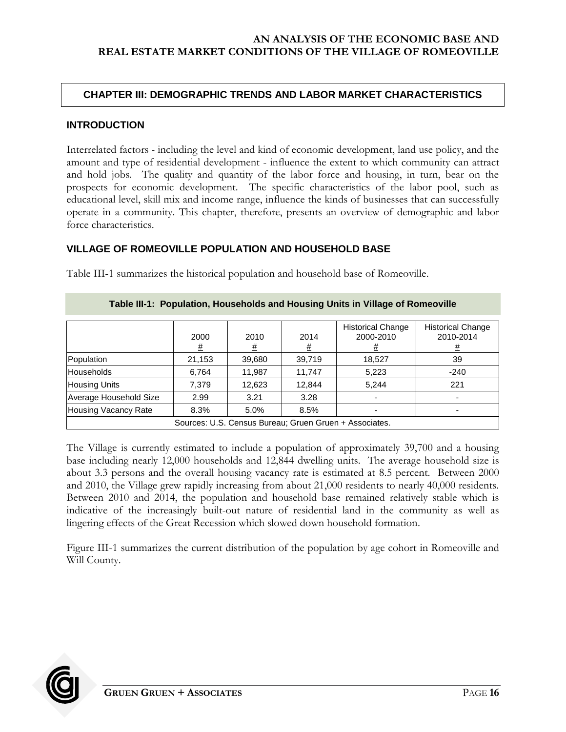## <span id="page-19-0"></span>**CHAPTER III: DEMOGRAPHIC TRENDS AND LABOR MARKET CHARACTERISTICS**

#### <span id="page-19-1"></span>**INTRODUCTION**

Interrelated factors - including the level and kind of economic development, land use policy, and the amount and type of residential development - influence the extent to which community can attract and hold jobs. The quality and quantity of the labor force and housing, in turn, bear on the prospects for economic development. The specific characteristics of the labor pool, such as educational level, skill mix and income range, influence the kinds of businesses that can successfully operate in a community. This chapter, therefore, presents an overview of demographic and labor force characteristics.

## <span id="page-19-2"></span>**VILLAGE OF ROMEOVILLE POPULATION AND HOUSEHOLD BASE**

<span id="page-19-3"></span>

| Table III-1: Population, Households and Housing Units in Village of Romeoville |                  |                  |                  |                                            |                                            |
|--------------------------------------------------------------------------------|------------------|------------------|------------------|--------------------------------------------|--------------------------------------------|
|                                                                                | 2000<br><u>#</u> | 2010<br><u>#</u> | 2014<br><u>#</u> | <b>Historical Change</b><br>2000-2010<br># | <b>Historical Change</b><br>2010-2014<br>표 |
| Population                                                                     | 21,153           | 39,680           | 39,719           | 18,527                                     | 39                                         |
| <b>Households</b>                                                              | 6,764            | 11,987           | 11,747           | 5,223                                      | $-240$                                     |
| <b>Housing Units</b>                                                           | 7,379            | 12,623           | 12,844           | 5.244                                      | 221                                        |
| Average Household Size                                                         | 2.99             | 3.21             | 3.28             |                                            |                                            |
| Housing Vacancy Rate                                                           | 8.3%             | 5.0%             | 8.5%             |                                            |                                            |
| Sources: U.S. Census Bureau; Gruen Gruen + Associates.                         |                  |                  |                  |                                            |                                            |

Table III-1 summarizes the historical population and household base of Romeoville.

### The Village is currently estimated to include a population of approximately 39,700 and a housing base including nearly 12,000 households and 12,844 dwelling units. The average household size is about 3.3 persons and the overall housing vacancy rate is estimated at 8.5 percent. Between 2000 and 2010, the Village grew rapidly increasing from about 21,000 residents to nearly 40,000 residents. Between 2010 and 2014, the population and household base remained relatively stable which is indicative of the increasingly built-out nature of residential land in the community as well as lingering effects of the Great Recession which slowed down household formation.

Figure III-1 summarizes the current distribution of the population by age cohort in Romeoville and Will County.

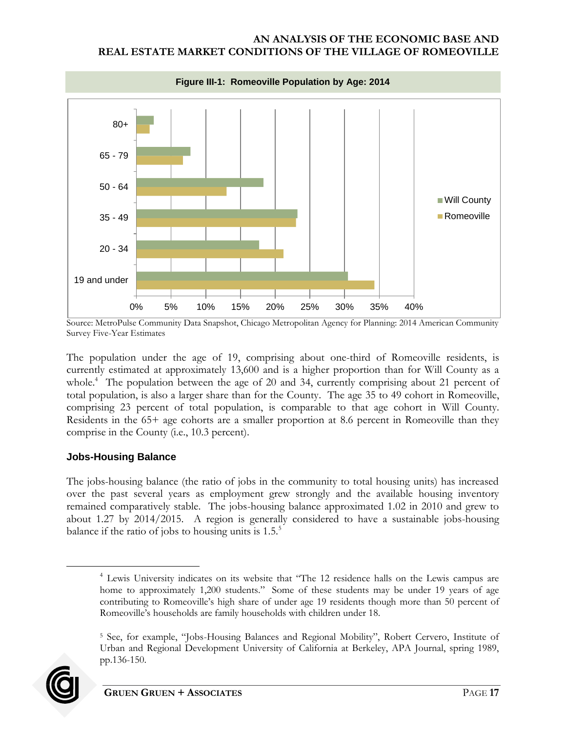<span id="page-20-0"></span>

Source: MetroPulse Community Data Snapshot, Chicago Metropolitan Agency for Planning: 2014 American Community Survey Five-Year Estimates

The population under the age of 19, comprising about one-third of Romeoville residents, is currently estimated at approximately 13,600 and is a higher proportion than for Will County as a whole.<sup>4</sup> The population between the age of 20 and 34, currently comprising about 21 percent of total population, is also a larger share than for the County. The age 35 to 49 cohort in Romeoville, comprising 23 percent of total population, is comparable to that age cohort in Will County. Residents in the 65+ age cohorts are a smaller proportion at 8.6 percent in Romeoville than they comprise in the County (i.e., 10.3 percent).

# **Jobs-Housing Balance**

The jobs-housing balance (the ratio of jobs in the community to total housing units) has increased over the past several years as employment grew strongly and the available housing inventory remained comparatively stable. The jobs-housing balance approximated 1.02 in 2010 and grew to about 1.27 by 2014/2015. A region is generally considered to have a sustainable jobs-housing balance if the ratio of jobs to housing units is  $1.5<sup>5</sup>$ 

<sup>5</sup> See, for example, "Jobs-Housing Balances and Regional Mobility", Robert Cervero, Institute of Urban and Regional Development University of California at Berkeley, APA Journal, spring 1989, pp.136-150.



 $\overline{a}$ 

<sup>&</sup>lt;sup>4</sup> Lewis University indicates on its website that "The 12 residence halls on the Lewis campus are home to approximately 1,200 students." Some of these students may be under 19 years of age contributing to Romeoville's high share of under age 19 residents though more than 50 percent of Romeoville's households are family households with children under 18.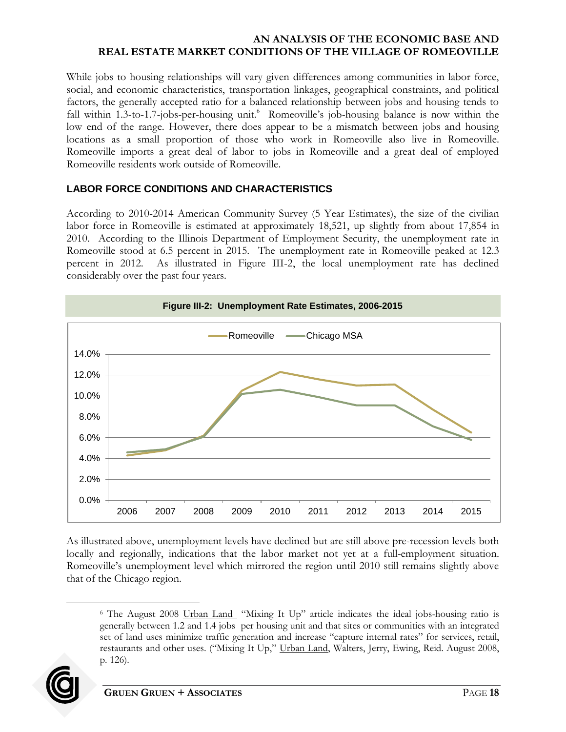While jobs to housing relationships will vary given differences among communities in labor force, social, and economic characteristics, transportation linkages, geographical constraints, and political factors, the generally accepted ratio for a balanced relationship between jobs and housing tends to fall within 1.3-to-1.7-jobs-per-housing unit.<sup>6</sup> Romeoville's job-housing balance is now within the low end of the range. However, there does appear to be a mismatch between jobs and housing locations as a small proportion of those who work in Romeoville also live in Romeoville. Romeoville imports a great deal of labor to jobs in Romeoville and a great deal of employed Romeoville residents work outside of Romeoville.

# <span id="page-21-0"></span>**LABOR FORCE CONDITIONS AND CHARACTERISTICS**

According to 2010-2014 American Community Survey (5 Year Estimates), the size of the civilian labor force in Romeoville is estimated at approximately 18,521, up slightly from about 17,854 in 2010. According to the Illinois Department of Employment Security, the unemployment rate in Romeoville stood at 6.5 percent in 2015. The unemployment rate in Romeoville peaked at 12.3 percent in 2012. As illustrated in Figure III-2, the local unemployment rate has declined considerably over the past four years.

<span id="page-21-1"></span>

As illustrated above, unemployment levels have declined but are still above pre-recession levels both locally and regionally, indications that the labor market not yet at a full-employment situation. Romeoville's unemployment level which mirrored the region until 2010 still remains slightly above that of the Chicago region.

<sup>6</sup> The August 2008 Urban Land "Mixing It Up" article indicates the ideal jobs-housing ratio is generally between 1.2 and 1.4 jobs per housing unit and that sites or communities with an integrated set of land uses minimize traffic generation and increase "capture internal rates" for services, retail, restaurants and other uses. ("Mixing It Up," Urban Land, Walters, Jerry, Ewing, Reid. August 2008, p. 126).



 $\overline{a}$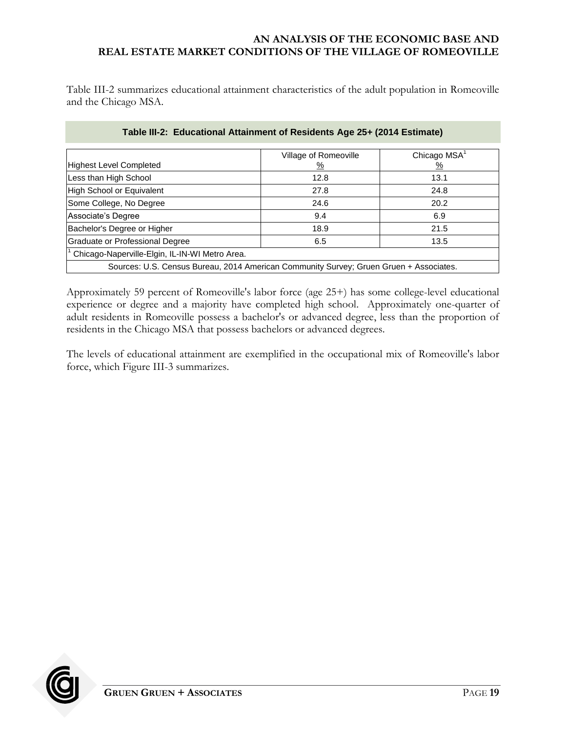Table III-2 summarizes educational attainment characteristics of the adult population in Romeoville and the Chicago MSA.

<span id="page-22-0"></span>

| <b>Highest Level Completed</b>                              | Village of Romeoville<br><u>%</u>                                                      | Chicago MSA <sup>1</sup><br>$\frac{9}{6}$ |
|-------------------------------------------------------------|----------------------------------------------------------------------------------------|-------------------------------------------|
| Less than High School                                       | 12.8                                                                                   | 13.1                                      |
| High School or Equivalent                                   | 27.8                                                                                   | 24.8                                      |
| Some College, No Degree                                     | 24.6                                                                                   | 20.2                                      |
| Associate's Degree                                          | 9.4                                                                                    | 6.9                                       |
| Bachelor's Degree or Higher                                 | 18.9                                                                                   | 21.5                                      |
| Graduate or Professional Degree                             | 6.5                                                                                    | 13.5                                      |
| <sup>1</sup> Chicago-Naperville-Elgin, IL-IN-WI Metro Area. |                                                                                        |                                           |
|                                                             | Sources: U.S. Census Bureau, 2014 American Community Survey; Gruen Gruen + Associates. |                                           |

### **Table III-2: Educational Attainment of Residents Age 25+ (2014 Estimate)**

Approximately 59 percent of Romeoville's labor force (age 25+) has some college-level educational experience or degree and a majority have completed high school. Approximately one-quarter of adult residents in Romeoville possess a bachelor's or advanced degree, less than the proportion of residents in the Chicago MSA that possess bachelors or advanced degrees.

The levels of educational attainment are exemplified in the occupational mix of Romeoville's labor force, which Figure III-3 summarizes.

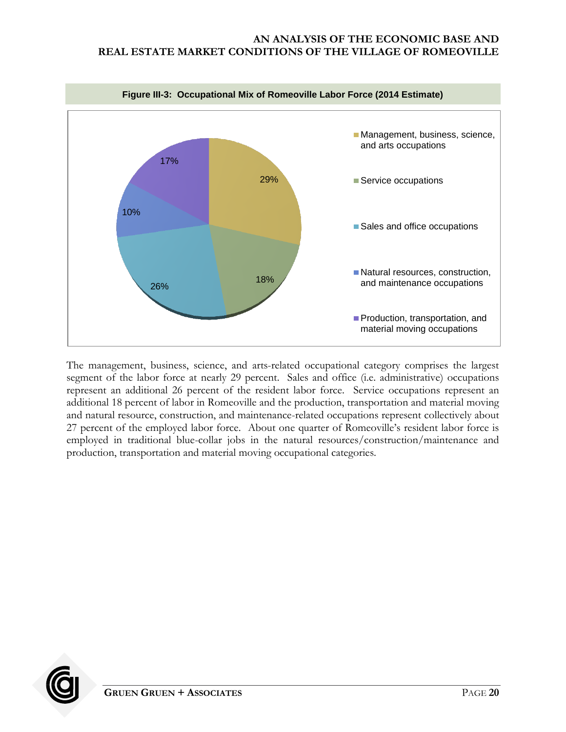<span id="page-23-0"></span>

The management, business, science, and arts-related occupational category comprises the largest segment of the labor force at nearly 29 percent. Sales and office (i.e. administrative) occupations represent an additional 26 percent of the resident labor force. Service occupations represent an additional 18 percent of labor in Romeoville and the production, transportation and material moving and natural resource, construction, and maintenance-related occupations represent collectively about 27 percent of the employed labor force. About one quarter of Romeoville's resident labor force is employed in traditional blue-collar jobs in the natural resources/construction/maintenance and production, transportation and material moving occupational categories.

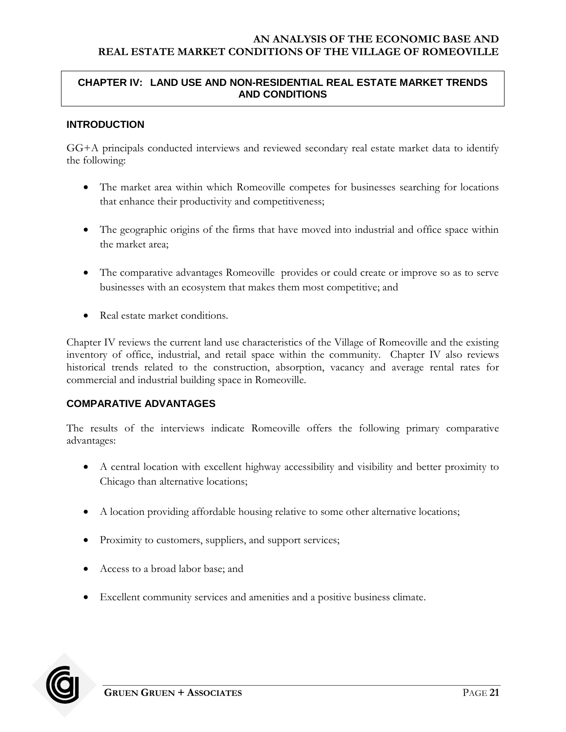# <span id="page-24-0"></span>**CHAPTER IV: LAND USE AND NON-RESIDENTIAL REAL ESTATE MARKET TRENDS AND CONDITIONS**

# <span id="page-24-1"></span>**INTRODUCTION**

GG+A principals conducted interviews and reviewed secondary real estate market data to identify the following:

- The market area within which Romeoville competes for businesses searching for locations that enhance their productivity and competitiveness;
- The geographic origins of the firms that have moved into industrial and office space within the market area;
- The comparative advantages Romeoville provides or could create or improve so as to serve businesses with an ecosystem that makes them most competitive; and
- Real estate market conditions.

Chapter IV reviews the current land use characteristics of the Village of Romeoville and the existing inventory of office, industrial, and retail space within the community. Chapter IV also reviews historical trends related to the construction, absorption, vacancy and average rental rates for commercial and industrial building space in Romeoville.

### <span id="page-24-2"></span>**COMPARATIVE ADVANTAGES**

The results of the interviews indicate Romeoville offers the following primary comparative advantages:

- A central location with excellent highway accessibility and visibility and better proximity to Chicago than alternative locations;
- A location providing affordable housing relative to some other alternative locations;
- Proximity to customers, suppliers, and support services;
- Access to a broad labor base; and
- Excellent community services and amenities and a positive business climate.

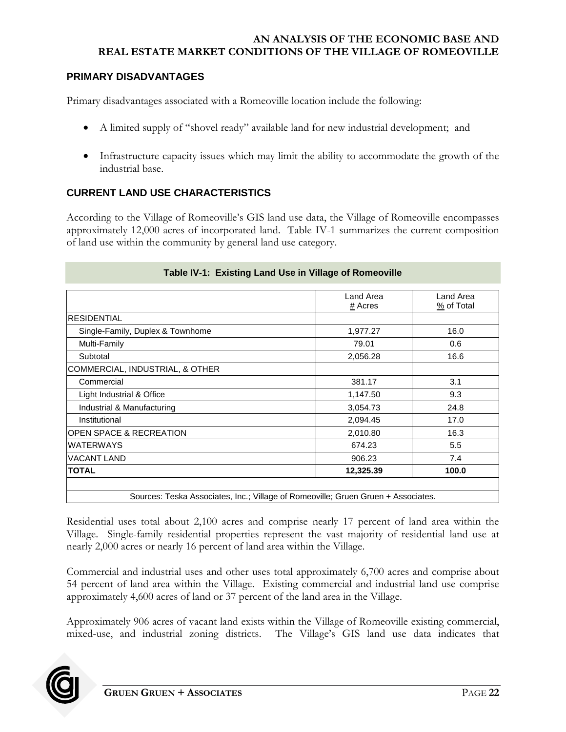### <span id="page-25-0"></span>**PRIMARY DISADVANTAGES**

Primary disadvantages associated with a Romeoville location include the following:

- A limited supply of "shovel ready" available land for new industrial development; and
- Infrastructure capacity issues which may limit the ability to accommodate the growth of the industrial base.

# <span id="page-25-1"></span>**CURRENT LAND USE CHARACTERISTICS**

According to the Village of Romeoville's GIS land use data, the Village of Romeoville encompasses approximately 12,000 acres of incorporated land. Table IV-1 summarizes the current composition of land use within the community by general land use category.

<span id="page-25-2"></span>

|                                  | Land Area | Land Area  |
|----------------------------------|-----------|------------|
|                                  | # Acres   | % of Total |
| <b>RESIDENTIAL</b>               |           |            |
| Single-Family, Duplex & Townhome | 1,977.27  | 16.0       |
| Multi-Family                     | 79.01     | 0.6        |
| Subtotal                         | 2,056.28  | 16.6       |
| COMMERCIAL, INDUSTRIAL, & OTHER  |           |            |
| Commercial                       | 381.17    | 3.1        |
| Light Industrial & Office        | 1,147.50  | 9.3        |
| Industrial & Manufacturing       | 3,054.73  | 24.8       |
| Institutional                    | 2,094.45  | 17.0       |
| OPEN SPACE & RECREATION          | 2,010.80  | 16.3       |
| <b>WATERWAYS</b>                 | 674.23    | 5.5        |
| <b>VACANT LAND</b>               | 906.23    | 7.4        |
| <b>TOTAL</b>                     | 12,325.39 | 100.0      |

### **Table IV-1: Existing Land Use in Village of Romeoville**

Sources: Teska Associates, Inc.; Village of Romeoville; Gruen Gruen + Associates.

Residential uses total about 2,100 acres and comprise nearly 17 percent of land area within the Village. Single-family residential properties represent the vast majority of residential land use at nearly 2,000 acres or nearly 16 percent of land area within the Village.

Commercial and industrial uses and other uses total approximately 6,700 acres and comprise about 54 percent of land area within the Village. Existing commercial and industrial land use comprise approximately 4,600 acres of land or 37 percent of the land area in the Village.

Approximately 906 acres of vacant land exists within the Village of Romeoville existing commercial, mixed-use, and industrial zoning districts. The Village's GIS land use data indicates that

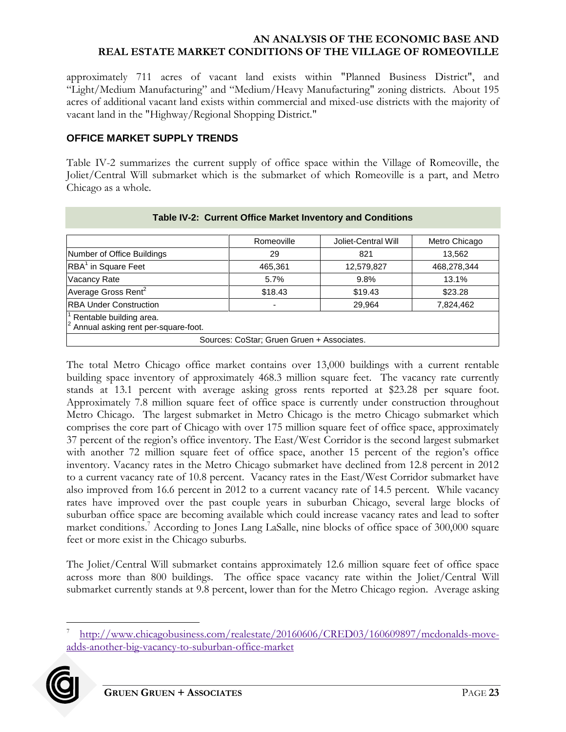approximately 711 acres of vacant land exists within "Planned Business District", and "Light/Medium Manufacturing" and "Medium/Heavy Manufacturing" zoning districts. About 195 acres of additional vacant land exists within commercial and mixed-use districts with the majority of vacant land in the "Highway/Regional Shopping District."

## <span id="page-26-0"></span>**OFFICE MARKET SUPPLY TRENDS**

Table IV-2 summarizes the current supply of office space within the Village of Romeoville, the Joliet/Central Will submarket which is the submarket of which Romeoville is a part, and Metro Chicago as a whole.

<span id="page-26-1"></span>

|                                                                                          | Romeoville | Joliet-Central Will | Metro Chicago |  |  |
|------------------------------------------------------------------------------------------|------------|---------------------|---------------|--|--|
| Number of Office Buildings                                                               | 29         | 821                 | 13,562        |  |  |
| RBA <sup>1</sup> in Square Feet                                                          | 465,361    | 12,579,827          | 468,278,344   |  |  |
| Vacancy Rate                                                                             | 5.7%       | $9.8\%$             | 13.1%         |  |  |
| Average Gross Rent <sup>2</sup>                                                          | \$18.43    | \$19.43             | \$23.28       |  |  |
| <b>RBA Under Construction</b>                                                            |            | 29,964              | 7,824,462     |  |  |
| <sup>1</sup> Rentable building area.<br><sup>2</sup> Annual asking rent per-square-foot. |            |                     |               |  |  |
| Sources: CoStar; Gruen Gruen + Associates.                                               |            |                     |               |  |  |

#### **Table IV-2: Current Office Market Inventory and Conditions**

The total Metro Chicago office market contains over 13,000 buildings with a current rentable building space inventory of approximately 468.3 million square feet. The vacancy rate currently stands at 13.1 percent with average asking gross rents reported at \$23.28 per square foot. Approximately 7.8 million square feet of office space is currently under construction throughout Metro Chicago. The largest submarket in Metro Chicago is the metro Chicago submarket which comprises the core part of Chicago with over 175 million square feet of office space, approximately 37 percent of the region's office inventory. The East/West Corridor is the second largest submarket with another 72 million square feet of office space, another 15 percent of the region's office inventory. Vacancy rates in the Metro Chicago submarket have declined from 12.8 percent in 2012 to a current vacancy rate of 10.8 percent. Vacancy rates in the East/West Corridor submarket have also improved from 16.6 percent in 2012 to a current vacancy rate of 14.5 percent. While vacancy rates have improved over the past couple years in suburban Chicago, several large blocks of suburban office space are becoming available which could increase vacancy rates and lead to softer market conditions.<sup>7</sup> According to Jones Lang LaSalle, nine blocks of office space of 300,000 square feet or more exist in the Chicago suburbs.

The Joliet/Central Will submarket contains approximately 12.6 million square feet of office space across more than 800 buildings. The office space vacancy rate within the Joliet/Central Will submarket currently stands at 9.8 percent, lower than for the Metro Chicago region. Average asking

 $\overline{a}$ 7 [http://www.chicagobusiness.com/realestate/20160606/CRED03/160609897/mcdonalds-move](http://www.chicagobusiness.com/realestate/20160606/CRED03/160609897/mcdonalds-move-adds-another-big-vacancy-to-suburban-office-market)[adds-another-big-vacancy-to-suburban-office-market](http://www.chicagobusiness.com/realestate/20160606/CRED03/160609897/mcdonalds-move-adds-another-big-vacancy-to-suburban-office-market)

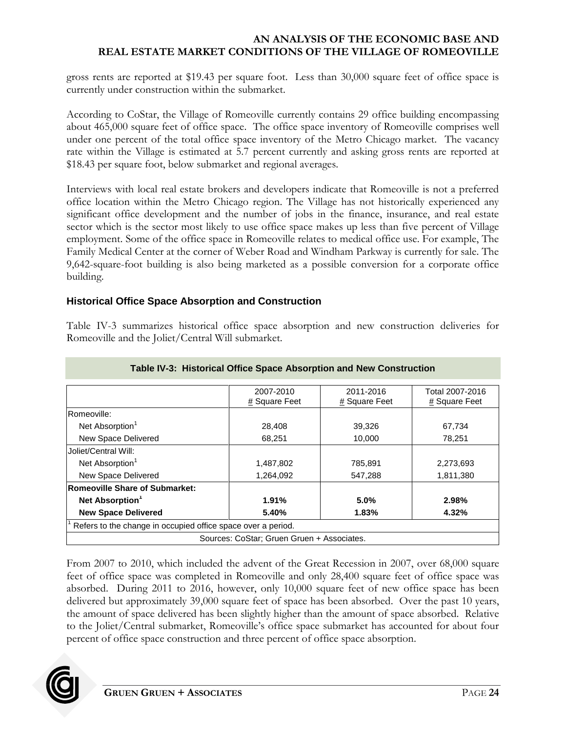gross rents are reported at \$19.43 per square foot. Less than 30,000 square feet of office space is currently under construction within the submarket.

According to CoStar, the Village of Romeoville currently contains 29 office building encompassing about 465,000 square feet of office space. The office space inventory of Romeoville comprises well under one percent of the total office space inventory of the Metro Chicago market. The vacancy rate within the Village is estimated at 5.7 percent currently and asking gross rents are reported at \$18.43 per square foot, below submarket and regional averages.

Interviews with local real estate brokers and developers indicate that Romeoville is not a preferred office location within the Metro Chicago region. The Village has not historically experienced any significant office development and the number of jobs in the finance, insurance, and real estate sector which is the sector most likely to use office space makes up less than five percent of Village employment. Some of the office space in Romeoville relates to medical office use. For example, The Family Medical Center at the corner of Weber Road and Windham Parkway is currently for sale. The 9,642-square-foot building is also being marketed as a possible conversion for a corporate office building.

## **Historical Office Space Absorption and Construction**

Table IV-3 summarizes historical office space absorption and new construction deliveries for Romeoville and the Joliet/Central Will submarket.

<span id="page-27-0"></span>

|                                                              | 2007-2010     | 2011-2016     | Total 2007-2016 |  |
|--------------------------------------------------------------|---------------|---------------|-----------------|--|
|                                                              | # Square Feet | # Square Feet | $#$ Square Feet |  |
| Romeoville:                                                  |               |               |                 |  |
| Net Absorption <sup>1</sup>                                  | 28,408        | 39,326        | 67,734          |  |
| New Space Delivered                                          | 68.251        | 10,000        | 78,251          |  |
| Joliet/Central Will:                                         |               |               |                 |  |
| Net Absorption <sup>1</sup>                                  | 1,487,802     | 785,891       | 2,273,693       |  |
| New Space Delivered                                          | 1,264,092     | 547,288       | 1,811,380       |  |
| Romeoville Share of Submarket:                               |               |               |                 |  |
| Net Absorption <sup>1</sup>                                  | 1.91%         | 5.0%          | 2.98%           |  |
| <b>New Space Delivered</b>                                   | 5.40%         | 1.83%         | 4.32%           |  |
| Refers to the change in occupied office space over a period. |               |               |                 |  |
| Sources: CoStar; Gruen Gruen + Associates.                   |               |               |                 |  |

### **Table IV-3: Historical Office Space Absorption and New Construction**

From 2007 to 2010, which included the advent of the Great Recession in 2007, over 68,000 square feet of office space was completed in Romeoville and only 28,400 square feet of office space was absorbed. During 2011 to 2016, however, only 10,000 square feet of new office space has been delivered but approximately 39,000 square feet of space has been absorbed. Over the past 10 years, the amount of space delivered has been slightly higher than the amount of space absorbed. Relative to the Joliet/Central submarket, Romeoville's office space submarket has accounted for about four percent of office space construction and three percent of office space absorption.

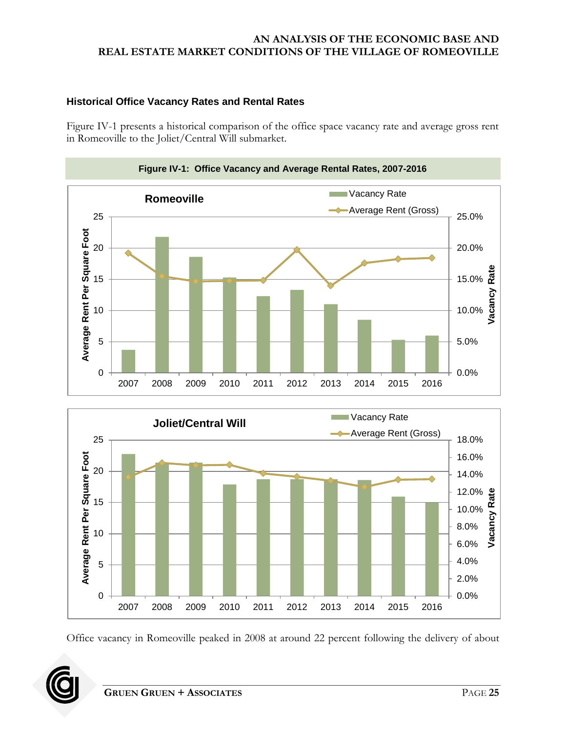# **Historical Office Vacancy Rates and Rental Rates**

Figure IV-1 presents a historical comparison of the office space vacancy rate and average gross rent in Romeoville to the Joliet/Central Will submarket.

<span id="page-28-0"></span>



Office vacancy in Romeoville peaked in 2008 at around 22 percent following the delivery of about

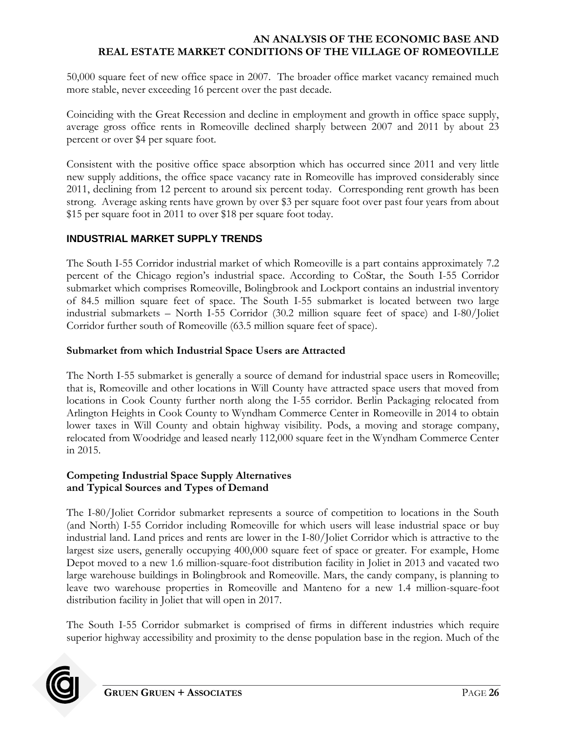50,000 square feet of new office space in 2007. The broader office market vacancy remained much more stable, never exceeding 16 percent over the past decade.

Coinciding with the Great Recession and decline in employment and growth in office space supply, average gross office rents in Romeoville declined sharply between 2007 and 2011 by about 23 percent or over \$4 per square foot.

Consistent with the positive office space absorption which has occurred since 2011 and very little new supply additions, the office space vacancy rate in Romeoville has improved considerably since 2011, declining from 12 percent to around six percent today. Corresponding rent growth has been strong. Average asking rents have grown by over \$3 per square foot over past four years from about \$15 per square foot in 2011 to over \$18 per square foot today.

# <span id="page-29-0"></span>**INDUSTRIAL MARKET SUPPLY TRENDS**

The South I-55 Corridor industrial market of which Romeoville is a part contains approximately 7.2 percent of the Chicago region's industrial space. According to CoStar, the South I-55 Corridor submarket which comprises Romeoville, Bolingbrook and Lockport contains an industrial inventory of 84.5 million square feet of space. The South I-55 submarket is located between two large industrial submarkets – North I-55 Corridor (30.2 million square feet of space) and I-80/Joliet Corridor further south of Romeoville (63.5 million square feet of space).

# **Submarket from which Industrial Space Users are Attracted**

The North I-55 submarket is generally a source of demand for industrial space users in Romeoville; that is, Romeoville and other locations in Will County have attracted space users that moved from locations in Cook County further north along the I-55 corridor. Berlin Packaging relocated from Arlington Heights in Cook County to Wyndham Commerce Center in Romeoville in 2014 to obtain lower taxes in Will County and obtain highway visibility. Pods, a moving and storage company, relocated from Woodridge and leased nearly 112,000 square feet in the Wyndham Commerce Center in 2015.

## **Competing Industrial Space Supply Alternatives and Typical Sources and Types of Demand**

The I-80/Joliet Corridor submarket represents a source of competition to locations in the South (and North) I-55 Corridor including Romeoville for which users will lease industrial space or buy industrial land. Land prices and rents are lower in the I-80/Joliet Corridor which is attractive to the largest size users, generally occupying 400,000 square feet of space or greater. For example, Home Depot moved to a new 1.6 million-square-foot distribution facility in Joliet in 2013 and vacated two large warehouse buildings in Bolingbrook and Romeoville. Mars, the candy company, is planning to leave two warehouse properties in Romeoville and Manteno for a new 1.4 million-square-foot distribution facility in Joliet that will open in 2017.

The South I-55 Corridor submarket is comprised of firms in different industries which require superior highway accessibility and proximity to the dense population base in the region. Much of the

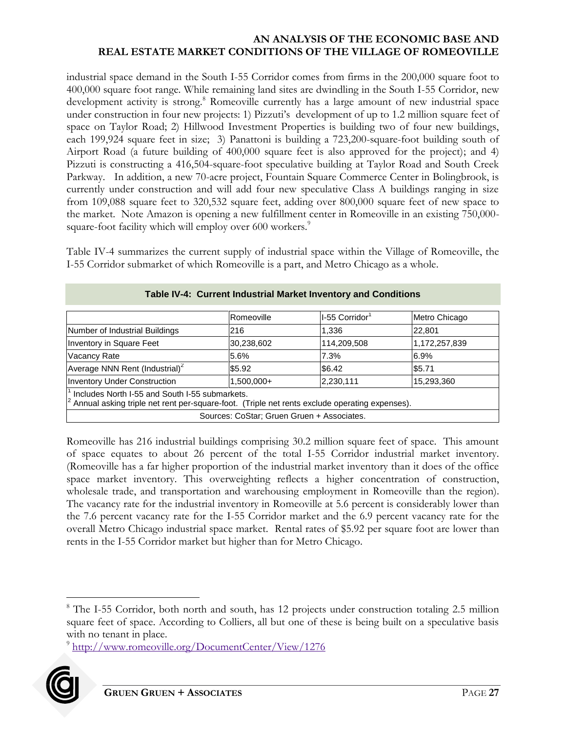industrial space demand in the South I-55 Corridor comes from firms in the 200,000 square foot to 400,000 square foot range. While remaining land sites are dwindling in the South I-55 Corridor, new development activity is strong.<sup>8</sup> Romeoville currently has a large amount of new industrial space under construction in four new projects: 1) Pizzuti's development of up to 1.2 million square feet of space on Taylor Road; 2) Hillwood Investment Properties is building two of four new buildings, each 199,924 square feet in size; 3) Panattoni is building a 723,200-square-foot building south of Airport Road (a future building of 400,000 square feet is also approved for the project); and 4) Pizzuti is constructing a 416,504-square-foot speculative building at Taylor Road and South Creek Parkway. In addition, a new 70-acre project, Fountain Square Commerce Center in Bolingbrook, is currently under construction and will add four new speculative Class A buildings ranging in size from 109,088 square feet to 320,532 square feet, adding over 800,000 square feet of new space to the market. Note Amazon is opening a new fulfillment center in Romeoville in an existing 750,000 square-foot facility which will employ over 600 workers.<sup>9</sup>

Table IV-4 summarizes the current supply of industrial space within the Village of Romeoville, the I-55 Corridor submarket of which Romeoville is a part, and Metro Chicago as a whole.

<span id="page-30-0"></span>

|                                                                                                                                                                             | IRomeoville | I-55 Corridor <sup>1</sup> | Metro Chicago |  |  |
|-----------------------------------------------------------------------------------------------------------------------------------------------------------------------------|-------------|----------------------------|---------------|--|--|
| Number of Industrial Buildings                                                                                                                                              | 216         | 1,336                      | 22,801        |  |  |
| Inventory in Square Feet                                                                                                                                                    | 30,238,602  | 114,209,508                | 1,172,257,839 |  |  |
| <b>Vacancy Rate</b>                                                                                                                                                         | 5.6%        | 7.3%                       | 6.9%          |  |  |
| Average NNN Rent (Industrial) <sup>2</sup>                                                                                                                                  | \$5.92      | \$6.42                     | \$5.71        |  |  |
| <b>Inventory Under Construction</b>                                                                                                                                         | 1,500,000+  | 2,230,111                  | 15,293,360    |  |  |
| $\frac{1}{2}$ Includes North I-55 and South I-55 submarkets.<br>$\frac{2}{2}$ Annual asking triple net rent per-square-foot. (Triple net rents exclude operating expenses). |             |                            |               |  |  |
| Sources: CoStar; Gruen Gruen + Associates.                                                                                                                                  |             |                            |               |  |  |

### **Table IV-4: Current Industrial Market Inventory and Conditions**

Romeoville has 216 industrial buildings comprising 30.2 million square feet of space. This amount of space equates to about 26 percent of the total I-55 Corridor industrial market inventory. (Romeoville has a far higher proportion of the industrial market inventory than it does of the office space market inventory. This overweighting reflects a higher concentration of construction, wholesale trade, and transportation and warehousing employment in Romeoville than the region). The vacancy rate for the industrial inventory in Romeoville at 5.6 percent is considerably lower than the 7.6 percent vacancy rate for the I-55 Corridor market and the 6.9 percent vacancy rate for the overall Metro Chicago industrial space market. Rental rates of \$5.92 per square foot are lower than rents in the I-55 Corridor market but higher than for Metro Chicago.

<sup>&</sup>lt;sup>9</sup> <http://www.romeoville.org/DocumentCenter/View/1276>



 $\overline{a}$ 

<sup>&</sup>lt;sup>8</sup> The I-55 Corridor, both north and south, has 12 projects under construction totaling 2.5 million square feet of space. According to Colliers, all but one of these is being built on a speculative basis with no tenant in place.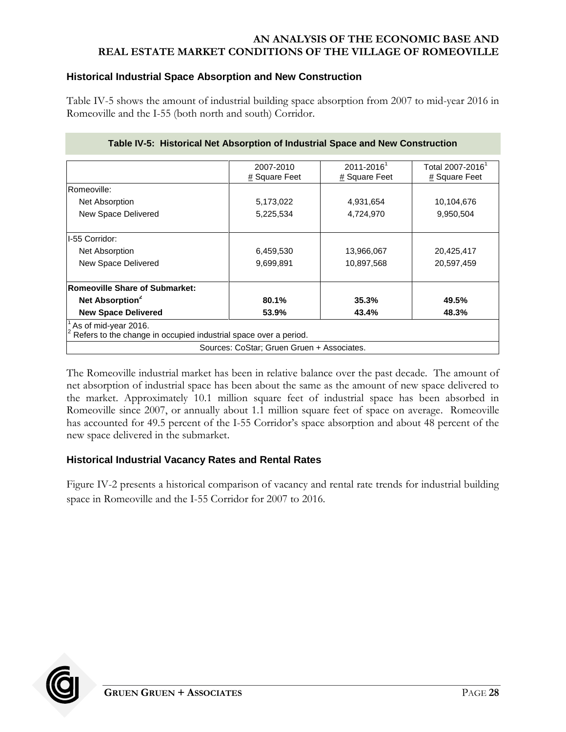## **Historical Industrial Space Absorption and New Construction**

Table IV-5 shows the amount of industrial building space absorption from 2007 to mid-year 2016 in Romeoville and the I-55 (both north and south) Corridor.

<span id="page-31-0"></span>

|                                                                                          | 2007-2010<br># Square Feet                 | $2011 - 2016$ <sup>1</sup><br># Square Feet | Total 2007-2016 <sup>'</sup><br># Square Feet |
|------------------------------------------------------------------------------------------|--------------------------------------------|---------------------------------------------|-----------------------------------------------|
|                                                                                          |                                            |                                             |                                               |
| Romeoville:                                                                              |                                            |                                             |                                               |
| Net Absorption                                                                           | 5,173,022                                  | 4,931,654                                   | 10,104,676                                    |
| New Space Delivered                                                                      | 5,225,534                                  | 4,724,970                                   | 9,950,504                                     |
| I-55 Corridor:                                                                           |                                            |                                             |                                               |
| Net Absorption                                                                           | 6,459,530                                  | 13,966,067                                  |                                               |
| New Space Delivered                                                                      | 9,699,891                                  | 10,897,568                                  | 20,597,459                                    |
| <b>Romeoville Share of Submarket:</b>                                                    |                                            |                                             |                                               |
| Net Absorption <sup>2</sup>                                                              | 80.1%                                      | 35.3%                                       | 49.5%                                         |
| <b>New Space Delivered</b>                                                               | 53.9%                                      | 43.4%                                       | 48.3%                                         |
| As of mid-year 2016.<br>Refers to the change in occupied industrial space over a period. |                                            |                                             |                                               |
|                                                                                          | Sources: CoStar; Gruen Gruen + Associates. |                                             |                                               |

#### **Table IV-5: Historical Net Absorption of Industrial Space and New Construction**

The Romeoville industrial market has been in relative balance over the past decade. The amount of net absorption of industrial space has been about the same as the amount of new space delivered to the market. Approximately 10.1 million square feet of industrial space has been absorbed in Romeoville since 2007, or annually about 1.1 million square feet of space on average. Romeoville has accounted for 49.5 percent of the I-55 Corridor's space absorption and about 48 percent of the new space delivered in the submarket.

# **Historical Industrial Vacancy Rates and Rental Rates**

Figure IV-2 presents a historical comparison of vacancy and rental rate trends for industrial building space in Romeoville and the I-55 Corridor for 2007 to 2016.

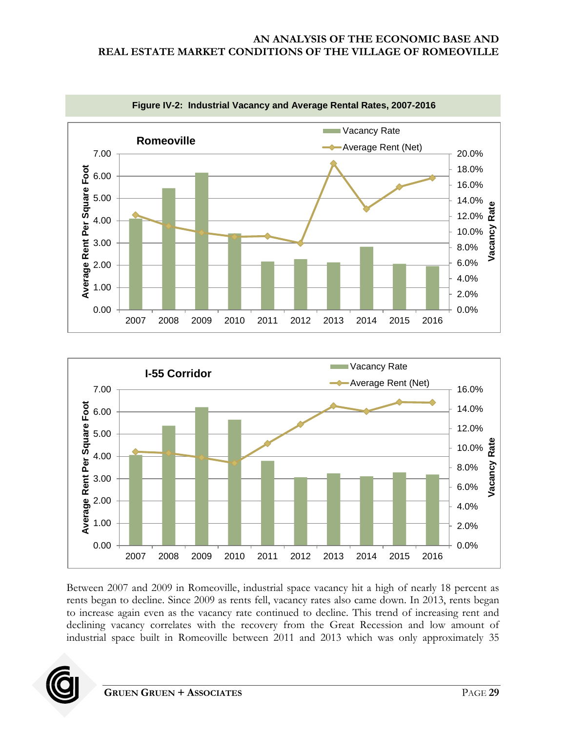<span id="page-32-0"></span>



Between 2007 and 2009 in Romeoville, industrial space vacancy hit a high of nearly 18 percent as rents began to decline. Since 2009 as rents fell, vacancy rates also came down. In 2013, rents began to increase again even as the vacancy rate continued to decline. This trend of increasing rent and declining vacancy correlates with the recovery from the Great Recession and low amount of industrial space built in Romeoville between 2011 and 2013 which was only approximately 35

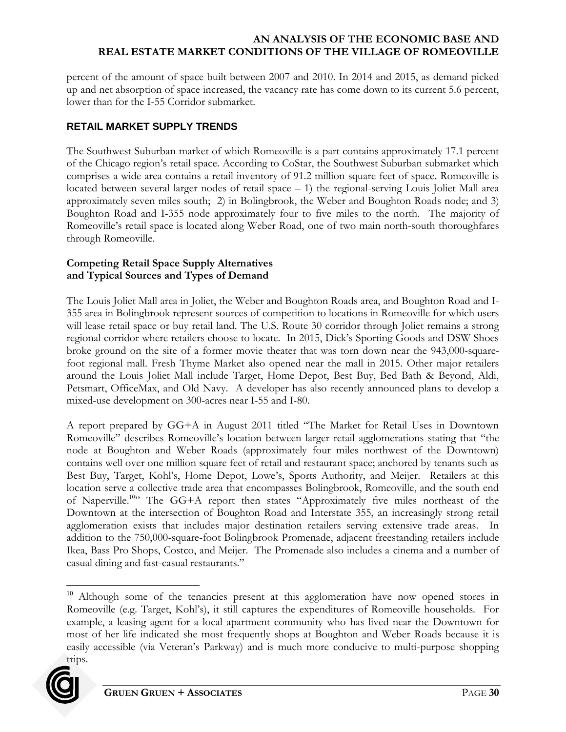percent of the amount of space built between 2007 and 2010. In 2014 and 2015, as demand picked up and net absorption of space increased, the vacancy rate has come down to its current 5.6 percent, lower than for the I-55 Corridor submarket.

# <span id="page-33-0"></span>**RETAIL MARKET SUPPLY TRENDS**

The Southwest Suburban market of which Romeoville is a part contains approximately 17.1 percent of the Chicago region's retail space. According to CoStar, the Southwest Suburban submarket which comprises a wide area contains a retail inventory of 91.2 million square feet of space. Romeoville is located between several larger nodes of retail space – 1) the regional-serving Louis Joliet Mall area approximately seven miles south; 2) in Bolingbrook, the Weber and Boughton Roads node; and 3) Boughton Road and I-355 node approximately four to five miles to the north. The majority of Romeoville's retail space is located along Weber Road, one of two main north-south thoroughfares through Romeoville.

## **Competing Retail Space Supply Alternatives and Typical Sources and Types of Demand**

The Louis Joliet Mall area in Joliet, the Weber and Boughton Roads area, and Boughton Road and I-355 area in Bolingbrook represent sources of competition to locations in Romeoville for which users will lease retail space or buy retail land. The U.S. Route 30 corridor through Joliet remains a strong regional corridor where retailers choose to locate. In 2015, Dick's Sporting Goods and DSW Shoes broke ground on the site of a former movie theater that was torn down near the 943,000-squarefoot regional mall. Fresh Thyme Market also opened near the mall in 2015. Other major retailers around the Louis Joliet Mall include Target, Home Depot, Best Buy, Bed Bath & Beyond, Aldi, Petsmart, OfficeMax, and Old Navy. A developer has also recently announced plans to develop a mixed-use development on 300-acres near I-55 and I-80.

A report prepared by GG+A in August 2011 titled "The Market for Retail Uses in Downtown Romeoville" describes Romeoville's location between larger retail agglomerations stating that "the node at Boughton and Weber Roads (approximately four miles northwest of the Downtown) contains well over one million square feet of retail and restaurant space; anchored by tenants such as Best Buy, Target, Kohl's, Home Depot, Lowe's, Sports Authority, and Meijer. Retailers at this location serve a collective trade area that encompasses Bolingbrook, Romeoville, and the south end of Naperville.<sup>10</sup>" The GG+A report then states "Approximately five miles northeast of the Downtown at the intersection of Boughton Road and Interstate 355, an increasingly strong retail agglomeration exists that includes major destination retailers serving extensive trade areas. In addition to the 750,000-square-foot Bolingbrook Promenade, adjacent freestanding retailers include Ikea, Bass Pro Shops, Costco, and Meijer. The Promenade also includes a cinema and a number of casual dining and fast-casual restaurants."

<sup>&</sup>lt;sup>10</sup> Although some of the tenancies present at this agglomeration have now opened stores in Romeoville (e.g. Target, Kohl's), it still captures the expenditures of Romeoville households. For example, a leasing agent for a local apartment community who has lived near the Downtown for most of her life indicated she most frequently shops at Boughton and Weber Roads because it is easily accessible (via Veteran's Parkway) and is much more conducive to multi-purpose shopping trips.



 $\overline{a}$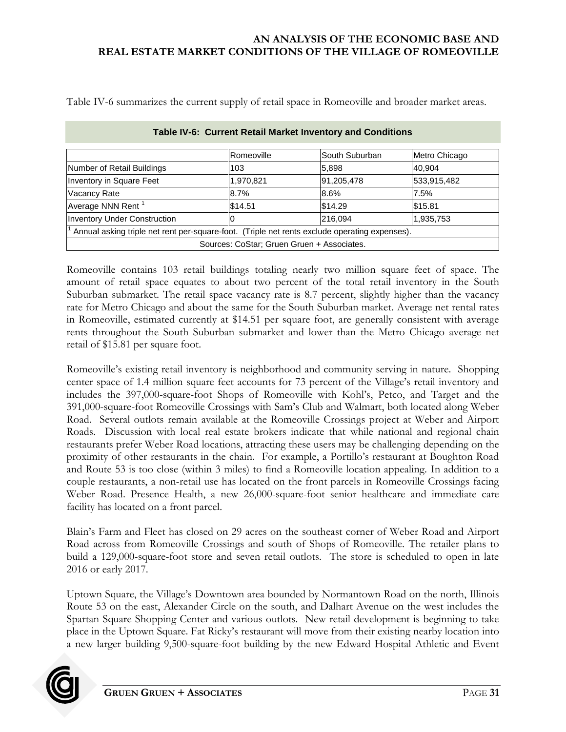Table IV-6 summarizes the current supply of retail space in Romeoville and broader market areas.

<span id="page-34-0"></span>

|                                                                                               | Romeoville | South Suburban | Metro Chicago |  |
|-----------------------------------------------------------------------------------------------|------------|----------------|---------------|--|
| Number of Retail Buildings                                                                    | 103        | 5,898          | 40.904        |  |
| Inventory in Square Feet                                                                      | 1,970,821  | 91,205,478     | 533,915,482   |  |
| <b>Vacancy Rate</b>                                                                           | 8.7%       | 8.6%           | 7.5%          |  |
| Average NNN Rent <sup>1</sup>                                                                 | \$14.51    | \$14.29        | \$15.81       |  |
| <b>Inventory Under Construction</b>                                                           | 10         | 216,094        | 1,935,753     |  |
| Annual asking triple net rent per-square-foot. (Triple net rents exclude operating expenses). |            |                |               |  |
| Sources: CoStar; Gruen Gruen + Associates.                                                    |            |                |               |  |

| Table IV-6: Current Retail Market Inventory and Conditions |
|------------------------------------------------------------|
|------------------------------------------------------------|

Romeoville contains 103 retail buildings totaling nearly two million square feet of space. The amount of retail space equates to about two percent of the total retail inventory in the South Suburban submarket. The retail space vacancy rate is 8.7 percent, slightly higher than the vacancy rate for Metro Chicago and about the same for the South Suburban market. Average net rental rates in Romeoville, estimated currently at \$14.51 per square foot, are generally consistent with average rents throughout the South Suburban submarket and lower than the Metro Chicago average net retail of \$15.81 per square foot.

Romeoville's existing retail inventory is neighborhood and community serving in nature. Shopping center space of 1.4 million square feet accounts for 73 percent of the Village's retail inventory and includes the 397,000-square-foot Shops of Romeoville with Kohl's, Petco, and Target and the 391,000-square-foot Romeoville Crossings with Sam's Club and Walmart, both located along Weber Road. Several outlots remain available at the Romeoville Crossings project at Weber and Airport Roads. Discussion with local real estate brokers indicate that while national and regional chain restaurants prefer Weber Road locations, attracting these users may be challenging depending on the proximity of other restaurants in the chain. For example, a Portillo's restaurant at Boughton Road and Route 53 is too close (within 3 miles) to find a Romeoville location appealing. In addition to a couple restaurants, a non-retail use has located on the front parcels in Romeoville Crossings facing Weber Road. Presence Health, a new 26,000-square-foot senior healthcare and immediate care facility has located on a front parcel.

Blain's Farm and Fleet has closed on 29 acres on the southeast corner of Weber Road and Airport Road across from Romeoville Crossings and south of Shops of Romeoville. The retailer plans to build a 129,000-square-foot store and seven retail outlots. The store is scheduled to open in late 2016 or early 2017.

Uptown Square, the Village's Downtown area bounded by Normantown Road on the north, Illinois Route 53 on the east, Alexander Circle on the south, and Dalhart Avenue on the west includes the Spartan Square Shopping Center and various outlots. New retail development is beginning to take place in the Uptown Square. Fat Ricky's restaurant will move from their existing nearby location into a new larger building 9,500-square-foot building by the new Edward Hospital Athletic and Event

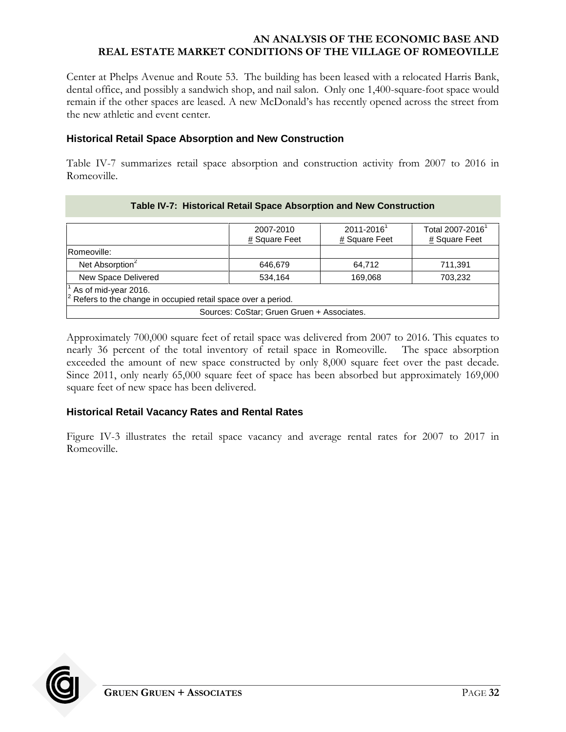Center at Phelps Avenue and Route 53. The building has been leased with a relocated Harris Bank, dental office, and possibly a sandwich shop, and nail salon. Only one 1,400-square-foot space would remain if the other spaces are leased. A new McDonald's has recently opened across the street from the new athletic and event center.

#### **Historical Retail Space Absorption and New Construction**

Table IV-7 summarizes retail space absorption and construction activity from 2007 to 2016 in Romeoville.

<span id="page-35-0"></span>

|                                                                                              | 2007-2010<br># Square Feet | $2011 - 2016$ <sup>1</sup><br># Square Feet | Total 2007-2016 <sup>1</sup><br># Square Feet |  |  |
|----------------------------------------------------------------------------------------------|----------------------------|---------------------------------------------|-----------------------------------------------|--|--|
| Romeoville:                                                                                  |                            |                                             |                                               |  |  |
| Net Absorption <sup>2</sup>                                                                  | 646.679                    | 64,712                                      | 711,391                                       |  |  |
| New Space Delivered<br>534.164<br>169,068<br>703,232                                         |                            |                                             |                                               |  |  |
| As of mid-year 2016.<br>$ ^{2}$ Refers to the change in occupied retail space over a period. |                            |                                             |                                               |  |  |
| Sources: CoStar; Gruen Gruen + Associates.                                                   |                            |                                             |                                               |  |  |

### **Table IV-7: Historical Retail Space Absorption and New Construction**

Approximately 700,000 square feet of retail space was delivered from 2007 to 2016. This equates to nearly 36 percent of the total inventory of retail space in Romeoville. The space absorption exceeded the amount of new space constructed by only 8,000 square feet over the past decade. Since 2011, only nearly 65,000 square feet of space has been absorbed but approximately 169,000 square feet of new space has been delivered.

# **Historical Retail Vacancy Rates and Rental Rates**

Figure IV-3 illustrates the retail space vacancy and average rental rates for 2007 to 2017 in Romeoville.

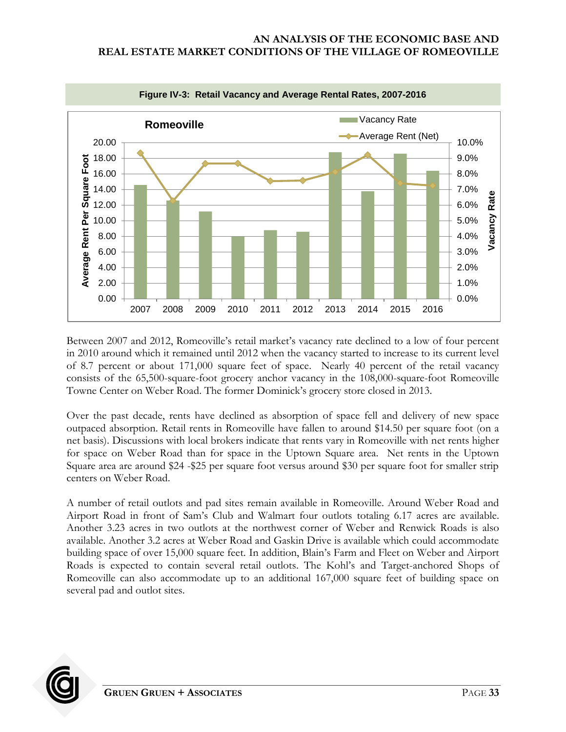<span id="page-36-0"></span>

Between 2007 and 2012, Romeoville's retail market's vacancy rate declined to a low of four percent in 2010 around which it remained until 2012 when the vacancy started to increase to its current level of 8.7 percent or about 171,000 square feet of space. Nearly 40 percent of the retail vacancy consists of the 65,500-square-foot grocery anchor vacancy in the 108,000-square-foot Romeoville Towne Center on Weber Road. The former Dominick's grocery store closed in 2013.

Over the past decade, rents have declined as absorption of space fell and delivery of new space outpaced absorption. Retail rents in Romeoville have fallen to around \$14.50 per square foot (on a net basis). Discussions with local brokers indicate that rents vary in Romeoville with net rents higher for space on Weber Road than for space in the Uptown Square area. Net rents in the Uptown Square area are around \$24 -\$25 per square foot versus around \$30 per square foot for smaller strip centers on Weber Road.

A number of retail outlots and pad sites remain available in Romeoville. Around Weber Road and Airport Road in front of Sam's Club and Walmart four outlots totaling 6.17 acres are available. Another 3.23 acres in two outlots at the northwest corner of Weber and Renwick Roads is also available. Another 3.2 acres at Weber Road and Gaskin Drive is available which could accommodate building space of over 15,000 square feet. In addition, Blain's Farm and Fleet on Weber and Airport Roads is expected to contain several retail outlots. The Kohl's and Target-anchored Shops of Romeoville can also accommodate up to an additional 167,000 square feet of building space on several pad and outlot sites.

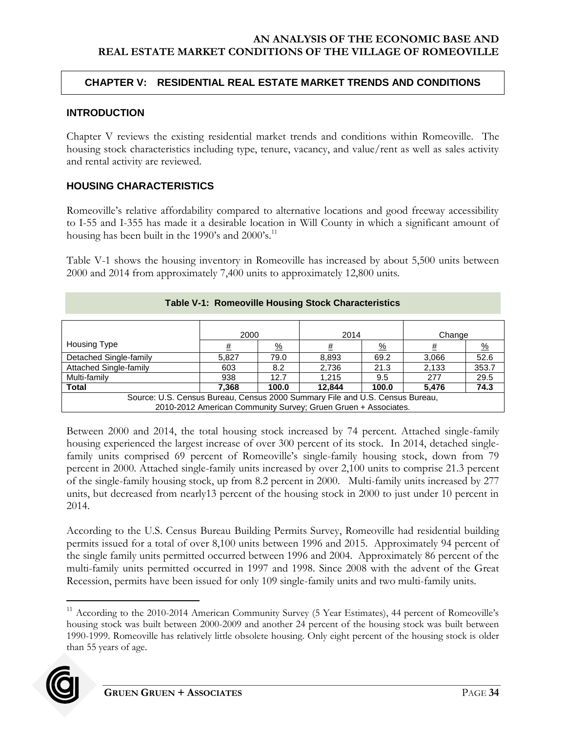### <span id="page-37-0"></span>**CHAPTER V: RESIDENTIAL REAL ESTATE MARKET TRENDS AND CONDITIONS**

#### <span id="page-37-1"></span>**INTRODUCTION**

Chapter V reviews the existing residential market trends and conditions within Romeoville. The housing stock characteristics including type, tenure, vacancy, and value/rent as well as sales activity and rental activity are reviewed.

### <span id="page-37-2"></span>**HOUSING CHARACTERISTICS**

Romeoville's relative affordability compared to alternative locations and good freeway accessibility to I-55 and I-355 has made it a desirable location in Will County in which a significant amount of housing has been built in the 1990's and 2000's.<sup>11</sup>

Table V-1 shows the housing inventory in Romeoville has increased by about 5,500 units between 2000 and 2014 from approximately 7,400 units to approximately 12,800 units.

<span id="page-37-3"></span>

| <u>TWRIST IT INSTITUTION INSURING STUDING CHARGEOIDING</u>                   |       |               |       |               |        |               |
|------------------------------------------------------------------------------|-------|---------------|-------|---------------|--------|---------------|
|                                                                              |       |               |       |               |        |               |
|                                                                              |       |               |       |               |        |               |
|                                                                              | 2000  |               | 2014  |               | Change |               |
| Housing Type                                                                 | #     | $\frac{9}{6}$ |       | $\frac{9}{6}$ |        | $\frac{0}{2}$ |
| Detached Single-family                                                       | 5.827 | 79.0          | 8,893 | 69.2          | 3,066  | 52.6          |
| <b>Attached Single-family</b>                                                | 603   | 8.2           | 2,736 | 21.3          | 2,133  | 353.7         |
| Multi-family                                                                 | 938   | 12.7          | 1.215 | 9.5           | 277    | 29.5          |
| 74.3<br><b>Total</b><br>100.0<br>12.844<br>100.0<br>7,368<br>5,476           |       |               |       |               |        |               |
| Source: U.S. Census Bureau, Census 2000 Summary File and U.S. Census Bureau, |       |               |       |               |        |               |
| 2010-2012 American Community Survey; Gruen Gruen + Associates.               |       |               |       |               |        |               |

### **Table V-1: Romeoville Housing Stock Characteristics**

Between 2000 and 2014, the total housing stock increased by 74 percent. Attached single-family housing experienced the largest increase of over 300 percent of its stock. In 2014, detached singlefamily units comprised 69 percent of Romeoville's single-family housing stock, down from 79 percent in 2000. Attached single-family units increased by over 2,100 units to comprise 21.3 percent of the single-family housing stock, up from 8.2 percent in 2000. Multi-family units increased by 277 units, but decreased from nearly13 percent of the housing stock in 2000 to just under 10 percent in 2014.

According to the U.S. Census Bureau Building Permits Survey, Romeoville had residential building permits issued for a total of over 8,100 units between 1996 and 2015. Approximately 94 percent of the single family units permitted occurred between 1996 and 2004. Approximately 86 percent of the multi-family units permitted occurred in 1997 and 1998. Since 2008 with the advent of the Great Recession, permits have been issued for only 109 single-family units and two multi-family units.

<sup>&</sup>lt;sup>11</sup> According to the 2010-2014 American Community Survey (5 Year Estimates), 44 percent of Romeoville's housing stock was built between 2000-2009 and another 24 percent of the housing stock was built between 1990-1999. Romeoville has relatively little obsolete housing. Only eight percent of the housing stock is older than 55 years of age.



 $\overline{a}$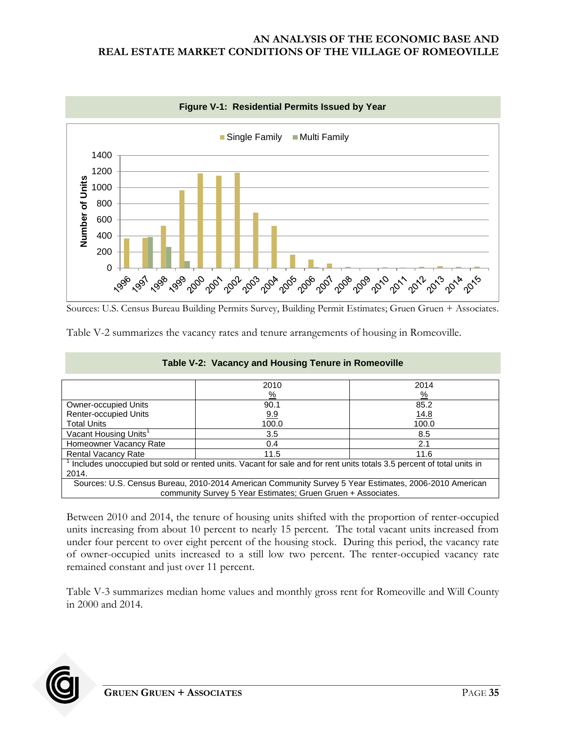<span id="page-38-0"></span>

Sources: U.S. Census Bureau Building Permits Survey, Building Permit Estimates; Gruen Gruen + Associates.

<span id="page-38-1"></span>Table V-2 summarizes the vacancy rates and tenure arrangements of housing in Romeoville.

|                                                                                                                       | 2010          | 2014          |  |  |  |
|-----------------------------------------------------------------------------------------------------------------------|---------------|---------------|--|--|--|
|                                                                                                                       | $\frac{9}{6}$ | $\frac{9}{6}$ |  |  |  |
| Owner-occupied Units                                                                                                  | 90.1          | 85.2          |  |  |  |
| <b>Renter-occupied Units</b>                                                                                          | <u>9.9</u>    | <u>14.8</u>   |  |  |  |
| <b>Total Units</b>                                                                                                    | 100.0         | 100.0         |  |  |  |
| Vacant Housing Units <sup>1</sup>                                                                                     | 3.5           | 8.5           |  |  |  |
| Homeowner Vacancy Rate<br>2.1<br>0.4                                                                                  |               |               |  |  |  |
| <b>Rental Vacancy Rate</b><br>11.5<br>11.6                                                                            |               |               |  |  |  |
| Includes unoccupied but sold or rented units. Vacant for sale and for rent units totals 3.5 percent of total units in |               |               |  |  |  |
| 2014.                                                                                                                 |               |               |  |  |  |
| Sources: U.S. Census Bureau, 2010-2014 American Community Survey 5 Year Estimates, 2006-2010 American                 |               |               |  |  |  |
| community Survey 5 Year Estimates; Gruen Gruen + Associates.                                                          |               |               |  |  |  |

**Table V-2: Vacancy and Housing Tenure in Romeoville**

Between 2010 and 2014, the tenure of housing units shifted with the proportion of renter-occupied units increasing from about 10 percent to nearly 15 percent. The total vacant units increased from under four percent to over eight percent of the housing stock. During this period, the vacancy rate of owner-occupied units increased to a still low two percent. The renter-occupied vacancy rate remained constant and just over 11 percent.

Table V-3 summarizes median home values and monthly gross rent for Romeoville and Will County in 2000 and 2014.

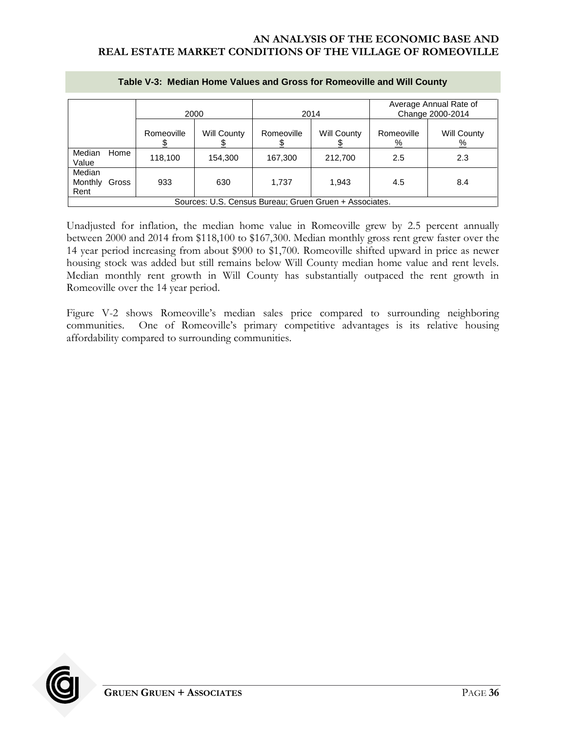<span id="page-39-0"></span>

|                                                        |       | 2000       |             | 2014       |             | Average Annual Rate of<br>Change 2000-2014 |                         |
|--------------------------------------------------------|-------|------------|-------------|------------|-------------|--------------------------------------------|-------------------------|
|                                                        |       | Romeoville | Will County | Romeoville | Will County | Romeoville<br><u>%</u>                     | Will County<br><u>%</u> |
| Median<br>Value                                        | Home  | 118,100    | 154,300     | 167,300    | 212,700     | 2.5                                        | 2.3                     |
| Median<br>Monthly<br>Rent                              | Gross | 933        | 630         | 1,737      | 1,943       | 4.5                                        | 8.4                     |
| Sources: U.S. Census Bureau; Gruen Gruen + Associates. |       |            |             |            |             |                                            |                         |

#### **Table V-3: Median Home Values and Gross for Romeoville and Will County**

Unadjusted for inflation, the median home value in Romeoville grew by 2.5 percent annually between 2000 and 2014 from \$118,100 to \$167,300. Median monthly gross rent grew faster over the 14 year period increasing from about \$900 to \$1,700. Romeoville shifted upward in price as newer housing stock was added but still remains below Will County median home value and rent levels. Median monthly rent growth in Will County has substantially outpaced the rent growth in Romeoville over the 14 year period.

Figure V-2 shows Romeoville's median sales price compared to surrounding neighboring communities. One of Romeoville's primary competitive advantages is its relative housing affordability compared to surrounding communities.

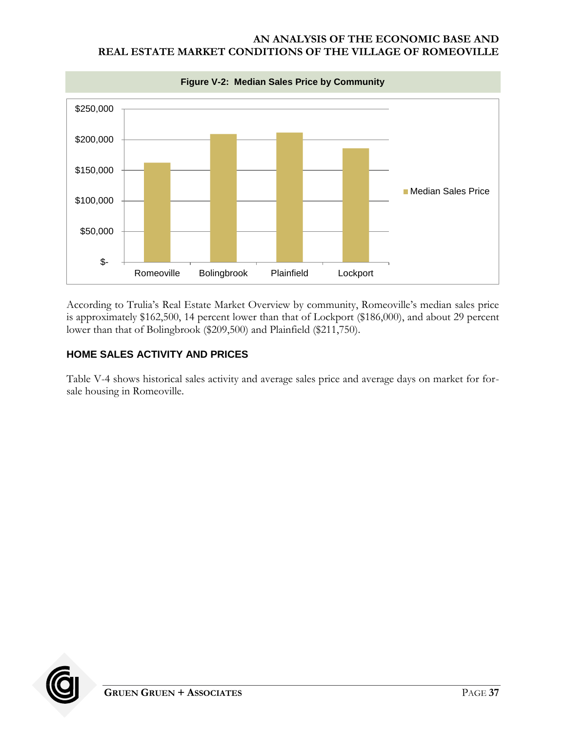<span id="page-40-1"></span>

According to Trulia's Real Estate Market Overview by community, Romeoville's median sales price is approximately \$162,500, 14 percent lower than that of Lockport (\$186,000), and about 29 percent lower than that of Bolingbrook (\$209,500) and Plainfield (\$211,750).

# <span id="page-40-0"></span>**HOME SALES ACTIVITY AND PRICES**

Table V-4 shows historical sales activity and average sales price and average days on market for forsale housing in Romeoville.

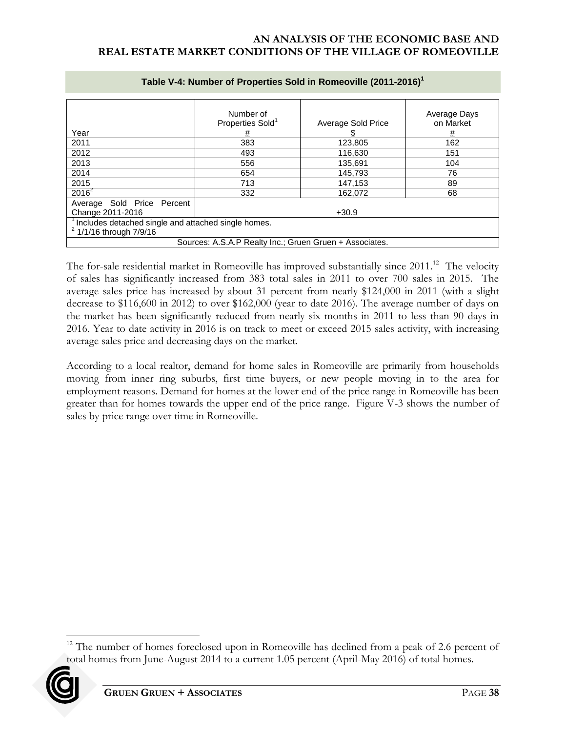<span id="page-41-0"></span>

|                                                                                           | Number of<br>Properties Sold <sup>1</sup> | Average Sold Price | Average Days<br>on Market |  |  |
|-------------------------------------------------------------------------------------------|-------------------------------------------|--------------------|---------------------------|--|--|
| Year                                                                                      | #                                         |                    | <u>#</u>                  |  |  |
| 2011                                                                                      | 383                                       | 123,805            | 162                       |  |  |
| 2012                                                                                      | 493                                       | 116,630            | 151                       |  |  |
| 2013                                                                                      | 556                                       | 135.691            | 104                       |  |  |
| 2014                                                                                      | 654                                       | 145.793            | 76                        |  |  |
| 2015                                                                                      | 713                                       | 147,153            | 89                        |  |  |
| $2016^2$                                                                                  | 332                                       | 162.072            | 68                        |  |  |
| Average Sold Price Percent<br>Change 2011-2016<br>$+30.9$                                 |                                           |                    |                           |  |  |
| Includes detached single and attached single homes.<br><sup>2</sup> 1/1/16 through 7/9/16 |                                           |                    |                           |  |  |
| Sources: A.S.A.P Realty Inc.; Gruen Gruen + Associates.                                   |                                           |                    |                           |  |  |

#### **Table V-4: Number of Properties Sold in Romeoville (2011-2016)<sup>1</sup>**

The for-sale residential market in Romeoville has improved substantially since 2011.<sup>12</sup> The velocity of sales has significantly increased from 383 total sales in 2011 to over 700 sales in 2015. The average sales price has increased by about 31 percent from nearly \$124,000 in 2011 (with a slight decrease to \$116,600 in 2012) to over \$162,000 (year to date 2016). The average number of days on the market has been significantly reduced from nearly six months in 2011 to less than 90 days in 2016. Year to date activity in 2016 is on track to meet or exceed 2015 sales activity, with increasing average sales price and decreasing days on the market.

According to a local realtor, demand for home sales in Romeoville are primarily from households moving from inner ring suburbs, first time buyers, or new people moving in to the area for employment reasons. Demand for homes at the lower end of the price range in Romeoville has been greater than for homes towards the upper end of the price range. Figure V-3 shows the number of sales by price range over time in Romeoville.

 $12$  The number of homes foreclosed upon in Romeoville has declined from a peak of 2.6 percent of total homes from June-August 2014 to a current 1.05 percent (April-May 2016) of total homes.



 $\overline{a}$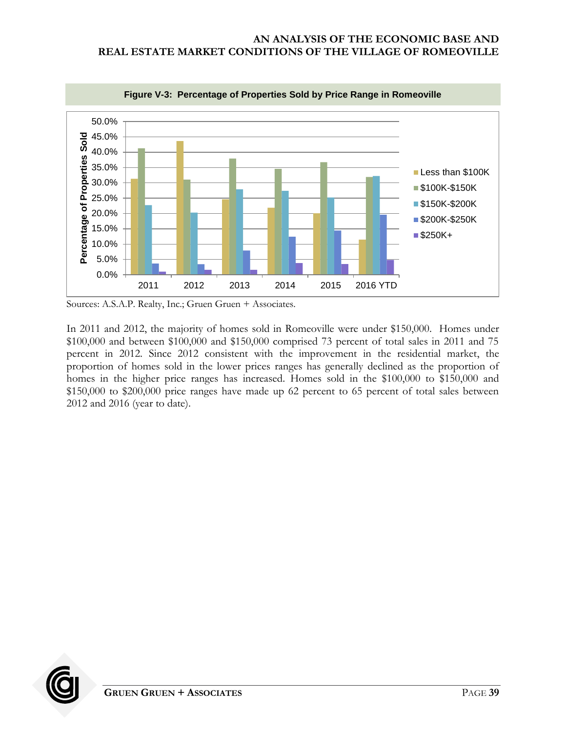<span id="page-42-0"></span>

Sources: A.S.A.P. Realty, Inc.; Gruen Gruen + Associates.

In 2011 and 2012, the majority of homes sold in Romeoville were under \$150,000. Homes under \$100,000 and between \$100,000 and \$150,000 comprised 73 percent of total sales in 2011 and 75 percent in 2012. Since 2012 consistent with the improvement in the residential market, the proportion of homes sold in the lower prices ranges has generally declined as the proportion of homes in the higher price ranges has increased. Homes sold in the \$100,000 to \$150,000 and \$150,000 to \$200,000 price ranges have made up 62 percent to 65 percent of total sales between 2012 and 2016 (year to date).

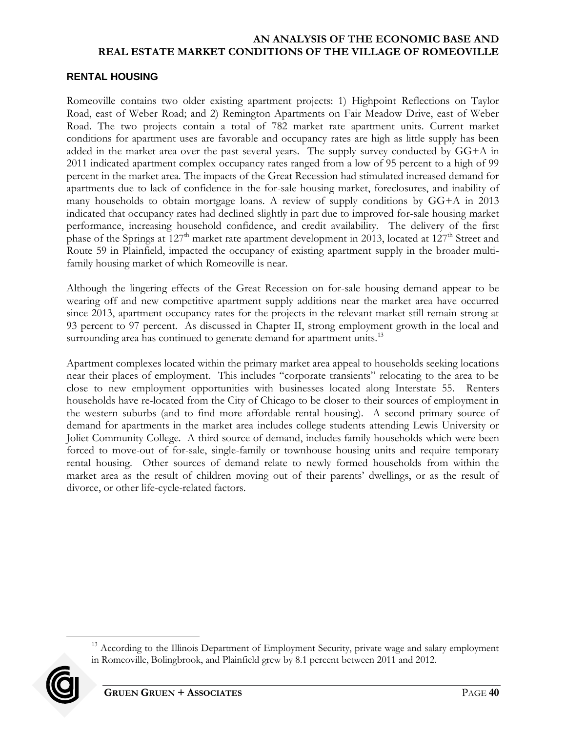### <span id="page-43-0"></span>**RENTAL HOUSING**

Romeoville contains two older existing apartment projects: 1) Highpoint Reflections on Taylor Road, east of Weber Road; and 2) Remington Apartments on Fair Meadow Drive, east of Weber Road. The two projects contain a total of 782 market rate apartment units. Current market conditions for apartment uses are favorable and occupancy rates are high as little supply has been added in the market area over the past several years. The supply survey conducted by GG+A in 2011 indicated apartment complex occupancy rates ranged from a low of 95 percent to a high of 99 percent in the market area. The impacts of the Great Recession had stimulated increased demand for apartments due to lack of confidence in the for-sale housing market, foreclosures, and inability of many households to obtain mortgage loans. A review of supply conditions by GG+A in 2013 indicated that occupancy rates had declined slightly in part due to improved for-sale housing market performance, increasing household confidence, and credit availability. The delivery of the first phase of the Springs at  $127<sup>th</sup>$  market rate apartment development in 2013, located at  $127<sup>th</sup>$  Street and Route 59 in Plainfield, impacted the occupancy of existing apartment supply in the broader multifamily housing market of which Romeoville is near.

Although the lingering effects of the Great Recession on for-sale housing demand appear to be wearing off and new competitive apartment supply additions near the market area have occurred since 2013, apartment occupancy rates for the projects in the relevant market still remain strong at 93 percent to 97 percent. As discussed in Chapter II, strong employment growth in the local and surrounding area has continued to generate demand for apartment units.<sup>13</sup>

Apartment complexes located within the primary market area appeal to households seeking locations near their places of employment. This includes "corporate transients" relocating to the area to be close to new employment opportunities with businesses located along Interstate 55. Renters households have re-located from the City of Chicago to be closer to their sources of employment in the western suburbs (and to find more affordable rental housing). A second primary source of demand for apartments in the market area includes college students attending Lewis University or Joliet Community College. A third source of demand, includes family households which were been forced to move-out of for-sale, single-family or townhouse housing units and require temporary rental housing. Other sources of demand relate to newly formed households from within the market area as the result of children moving out of their parents' dwellings, or as the result of divorce, or other life-cycle-related factors.

<sup>&</sup>lt;sup>13</sup> According to the Illinois Department of Employment Security, private wage and salary employment in Romeoville, Bolingbrook, and Plainfield grew by 8.1 percent between 2011 and 2012.



 $\overline{a}$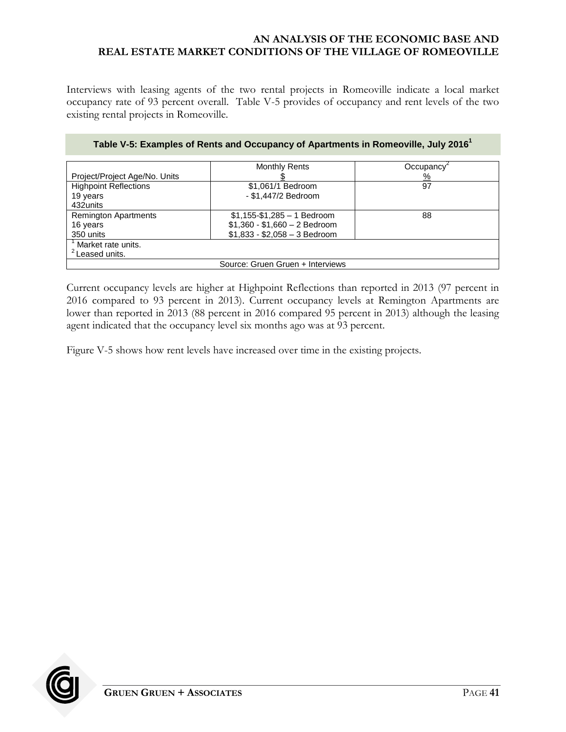Interviews with leasing agents of the two rental projects in Romeoville indicate a local market occupancy rate of 93 percent overall. Table V-5 provides of occupancy and rent levels of the two existing rental projects in Romeoville.

<span id="page-44-0"></span>

|                                  | <b>Monthly Rents</b>          | Occupancy <sup>-</sup> |  |  |  |
|----------------------------------|-------------------------------|------------------------|--|--|--|
| Project/Project Age/No. Units    |                               | $\frac{9}{6}$          |  |  |  |
| <b>Highpoint Reflections</b>     | \$1,061/1 Bedroom             | 97                     |  |  |  |
| 19 years                         | - \$1,447/2 Bedroom           |                        |  |  |  |
| 432units                         |                               |                        |  |  |  |
| <b>Remington Apartments</b>      | $$1,155-S1,285-1$ Bedroom     | 88                     |  |  |  |
| 16 years                         | $$1,360 - $1,660 - 2$ Bedroom |                        |  |  |  |
| 350 units                        | $$1,833 - $2,058 - 3$ Bedroom |                        |  |  |  |
| Market rate units.               |                               |                        |  |  |  |
| <sup>2</sup> Leased units.       |                               |                        |  |  |  |
| Source: Gruen Gruen + Interviews |                               |                        |  |  |  |

#### **Table V-5: Examples of Rents and Occupancy of Apartments in Romeoville, July 2016<sup>1</sup>**

Current occupancy levels are higher at Highpoint Reflections than reported in 2013 (97 percent in 2016 compared to 93 percent in 2013). Current occupancy levels at Remington Apartments are lower than reported in 2013 (88 percent in 2016 compared 95 percent in 2013) although the leasing agent indicated that the occupancy level six months ago was at 93 percent.

Figure V-5 shows how rent levels have increased over time in the existing projects.

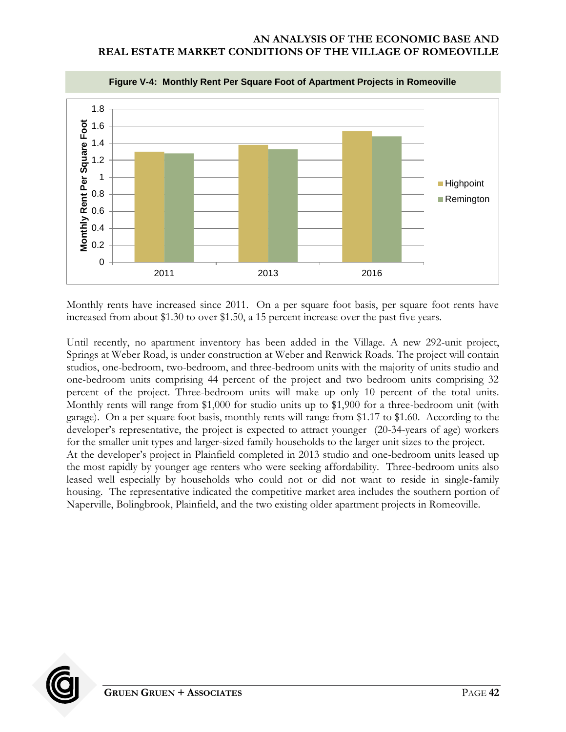<span id="page-45-0"></span>

Monthly rents have increased since 2011. On a per square foot basis, per square foot rents have increased from about \$1.30 to over \$1.50, a 15 percent increase over the past five years.

Until recently, no apartment inventory has been added in the Village. A new 292-unit project, Springs at Weber Road, is under construction at Weber and Renwick Roads. The project will contain studios, one-bedroom, two-bedroom, and three-bedroom units with the majority of units studio and one-bedroom units comprising 44 percent of the project and two bedroom units comprising 32 percent of the project. Three-bedroom units will make up only 10 percent of the total units. Monthly rents will range from \$1,000 for studio units up to \$1,900 for a three-bedroom unit (with garage). On a per square foot basis, monthly rents will range from \$1.17 to \$1.60. According to the developer's representative, the project is expected to attract younger (20-34-years of age) workers for the smaller unit types and larger-sized family households to the larger unit sizes to the project. At the developer's project in Plainfield completed in 2013 studio and one-bedroom units leased up the most rapidly by younger age renters who were seeking affordability. Three-bedroom units also leased well especially by households who could not or did not want to reside in single-family housing. The representative indicated the competitive market area includes the southern portion of Naperville, Bolingbrook, Plainfield, and the two existing older apartment projects in Romeoville.